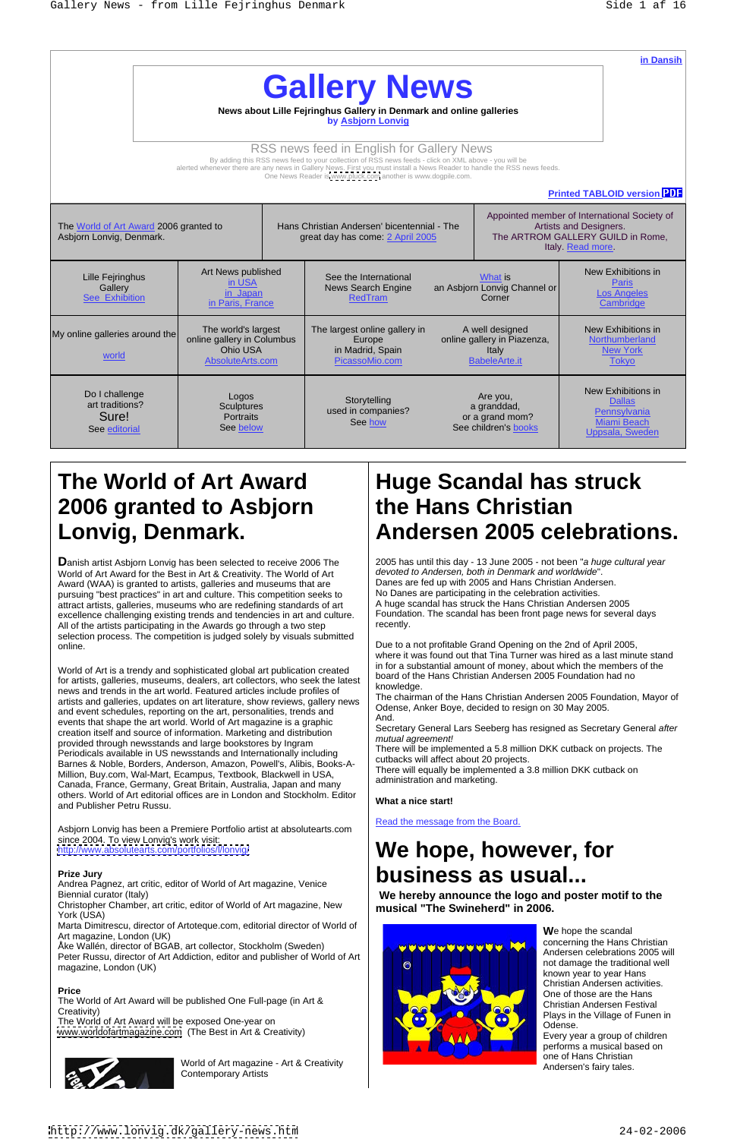|                                                                    |                                                                                   |                                                                                                                                                                                                                                                                                                                                              |                                                                    | in Dansih                                                                                                                        |
|--------------------------------------------------------------------|-----------------------------------------------------------------------------------|----------------------------------------------------------------------------------------------------------------------------------------------------------------------------------------------------------------------------------------------------------------------------------------------------------------------------------------------|--------------------------------------------------------------------|----------------------------------------------------------------------------------------------------------------------------------|
|                                                                    |                                                                                   | <b>Gallery News</b>                                                                                                                                                                                                                                                                                                                          |                                                                    |                                                                                                                                  |
|                                                                    |                                                                                   | News about Lille Fejringhus Gallery in Denmark and online galleries                                                                                                                                                                                                                                                                          |                                                                    |                                                                                                                                  |
|                                                                    |                                                                                   | by Asbjorn Lonvig                                                                                                                                                                                                                                                                                                                            |                                                                    |                                                                                                                                  |
|                                                                    |                                                                                   | RSS news feed in English for Gallery News<br>By adding this RSS news feed to your collection of RSS news feeds - click on XML above - you will be<br>alerted whenever there are any news in Gallery News. First you must install a News Reader to handle the RSS news feeds.<br>One News Reader is www.pluck.com another is www.dogpile.com. |                                                                    |                                                                                                                                  |
|                                                                    |                                                                                   |                                                                                                                                                                                                                                                                                                                                              |                                                                    | <b>Printed TABLOID version PDF</b>                                                                                               |
| The World of Art Award 2006 granted to<br>Asbjorn Lonvig, Denmark. |                                                                                   | Hans Christian Andersen' bicentennial - The<br>great day has come: 2 April 2005                                                                                                                                                                                                                                                              |                                                                    | Appointed member of International Society of<br>Artists and Designers.<br>The ARTROM GALLERY GUILD in Rome,<br>Italy. Read more. |
| Lille Fejringhus<br>Gallery<br>See Exhibition                      | Art News published<br><u>in USA</u><br><u>in Japan</u><br>in Paris, France        | See the International<br>News Search Engine<br>RedTram                                                                                                                                                                                                                                                                                       | What is<br>an Asbjorn Lonvig Channel or<br>Corner                  | New Exhibitions in<br>Paris<br><b>Los Angeles</b><br>Cambridge                                                                   |
| My online galleries around the<br>world                            | The world's largest<br>online gallery in Columbus<br>Ohio USA<br>AbsoluteArts.com | The largest online gallery in<br>Europe<br>in Madrid, Spain<br>PicassoMio.com                                                                                                                                                                                                                                                                | A well designed<br>online gallery in Piazenza,<br>BabeleArte.it    | New Exhibitions in<br>Northumberland<br>New York<br>Tokyo                                                                        |
| Do I challenge<br>art traditions?<br>Sure!<br>See editorial        | Logos<br>Sculptures<br>Portraits<br>See below                                     | Storytelling<br>used in companies?<br>See how                                                                                                                                                                                                                                                                                                | Are you,<br>a granddad,<br>or a grand mom?<br>See children's books | New Exhibitions in<br>Dallas<br>Pennsylvania<br>Miami Beach<br>Uppsala, Sweden                                                   |

# **2006 granted to Asbjorn**

# <http://www.absolutearts.com/portfolios/l/lonvig/> **We hope, however, for** Prize Jury<br>Andrea Pagnez, art critic, editor of World of Art magazine, Venice **business** as usual...

Christopher Chamber, art critic, editor of World of Art magazine, New York (USA) and the contract of the contract of the contract of the contract of the contract of the contract of the contract of the contract of the contract of the contract of the contract of the contract of the contract of

Peter Russu, director of Art Addiction, editor and publisher of World of Art magazine, London (UK)

The World of Art Award will be published One Full-page (in Art & Creativity)<br>
Plays in the Village of Funen in

The World of Art Award will be exposed One-year on Odense. [www.worldofartmagazine.com](http://www.worldofartmagazine.com) (The Best in Art & Creativity)



World of Art magazine - Art & Creativity<br>Contemporary Artists Contemporary Artists **Contemporary Artists Contemporary Artists Contemporary Artists** 

**D**anish artist Asbjorn Lonvig has been selected to receive 2006 The World of Art Award for the Best in Art & Creativity. The World of Art Award (WAA) is granted to artists, galleries and museums that are pursuing "best practices" in art and culture. This competition seeks to attract artists, galleries, museums who are redefining standards of art excellence challenging existing trends and tendencies in art and culture. Foundation at N artists participating in the Awards go through a two step recently. All of the artists participating in the Awards go through a two step selection process. The competition is judged solely by visuals submitted

2005 has until this day - 13 June 2005 - not been "a huge cultural year devoted to Andersen, both in Denmark and worldwide". Danes are fed up with 2005 and Hans Christian Andersen. No Danes are participating in the celebration activities. A huge scandal has struck the Hans Christian Andersen 2005 Foundation. The scandal has been front page news for several days recently. The contract of the contract of the contract of the contract of the contract of the contract of the contract of the contract of the contract of the contract of the contract of the contract of the contract of the

online. **Example 2008** The Contract of the Crane online on the 2nd of April 2005, where it was found out that Tina Turner was hired as a last minute stand in for a substantial amount of money, about which the members of the board of the Hans Christian Andersen 2005 Foundation had no knowledge.

World of Art is a trendy and sophisticated global art publication created for artists, galleries, museums, dealers, art collectors, who seek the latest board of the requirement in the ort world Featured cripton include prefiles of knowledge. news and trends in the art world. Featured articles include profiles of artists and galleries, updates on art literature, show reviews, gallery news and event schedules, reporting on the art, personalities, trends and  $\left\{\n\begin{array}{c}\n\text{Over} \\
\text{And}\n\end{array}\n\right\}$ events that shape the art world. World of Art magazine is a graphic creation itself and source of information. Marketing and distribution provided through newsstands and large bookstores by Ingram Periodicals available in US newsstands and Internationally including Barnes & Noble, Borders, Anderson, Amazon, Powell's, Alibis, Books-A- Million, Buy.com, Wal-Mart, Ecampus, Textbook, Blackwell in USA, Canada, France, Germany, Great Britain, Australia, Japan and many others. World of Art editorial offices are in London and Stockholm. Editor and Publisher Petru Russu.

Biennial curator (Italy) **Example 2 and 2 and 2 announce the logo and poster motif to the Bigging 2 announce the logo and poster motif to the musical "The Swineherd" in 2006.**

# **The World of Art Award Huge Scandal has struck Lonvig, Denmark. Andersen 2005 celebrations. the Hans Christian**

Asbjorn Lonvig has been a Premiere Portfolio artist at absolutearts.com

## since 2004. To view Lonvig's work visit:

Andrea Pagnez, art critic, editor of World of Art magazine, Venice

Marta Dimitrescu, director of Artoteque.com, editorial director of World of Art magazine, London (UK)

Åke Wallén, director of BGAB, art collector, Stockholm (Sweden)



The chairman of the Hans Christian Andersen 2005 Foundation, Mayor of Odense, Anker Boye, decided to resign on 30 May 2005. And.

Secretary General Lars Seeberg has resigned as Secretary General after mutual agreement!

There will be implemented a 5.8 million DKK cutback on projects. The cutbacks will affect about 20 projects.

There will equally be implemented a 3.8 million DKK cutback on administration and marketing.

### **What a nice start!**

Read the message from the Board.

**W**e hope the scandal concerning the Hans Christian Andersen celebrations 2005 will not damage the traditional well known year to year Hans Christian Andersen activities. One of those are the Hans Christian Andersen Festival Odense.

Every year a group of children performs a musical based on one of Hans Christian Andersen's fairy tales.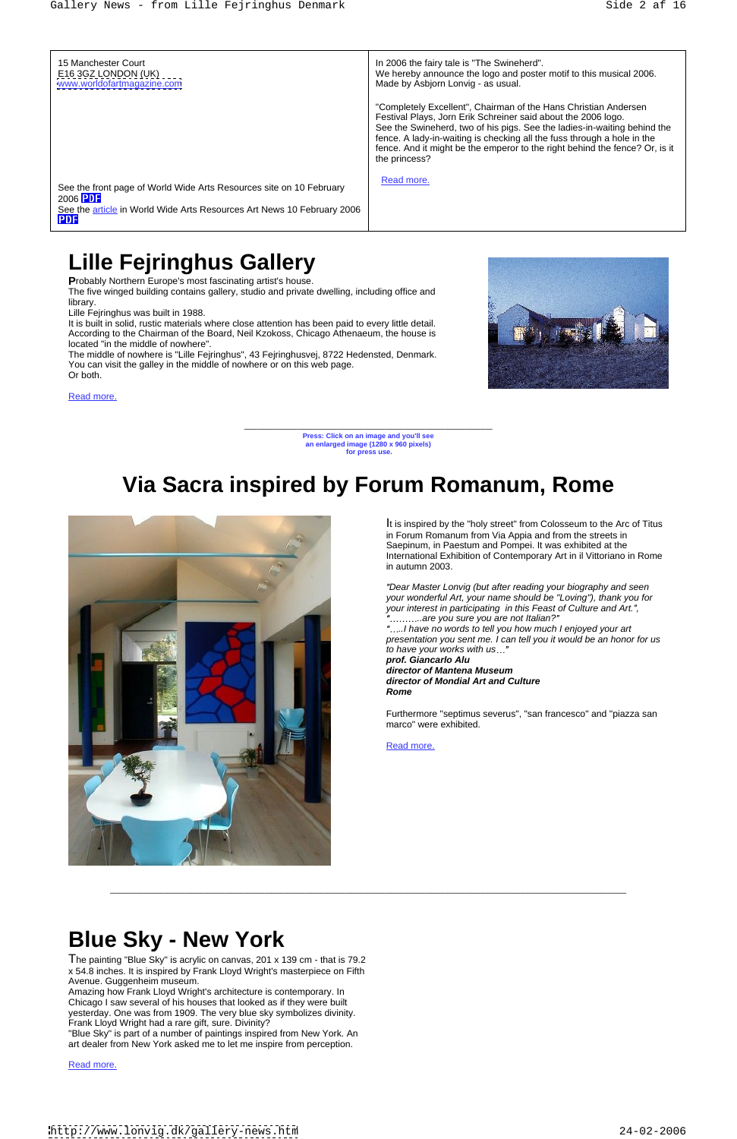\_\_\_\_\_\_\_\_\_\_\_\_\_\_\_\_\_\_\_\_\_\_\_\_\_\_\_\_\_\_\_\_\_\_\_\_\_ **Press: Click on an image and you'll see an enlarged image (1280 x 960 pixels) for press use.** 

15 Manchester Court In 2006 the fairy tale is "The Swineherd". E16 3GZ LONDON (UK) We hereby announce the logo and poster motif to this musical 2006. [www.worldofartmagazine.com](http://www.worldofartmagazine.com) Made by Asbjorn Lonvig - as usual. Made by Asbjorn Lonvig - as usual. "Completely Excellent", Chairman of the Hans Christian Andersen Festival Plays, Jorn Erik Schreiner said about the 2006 logo. See the Swineherd, two of his pigs. See the ladies-in-waiting behind the fence. A lady-in-waiting is checking all the fuss through a hole in the fence. And it might be the emperor to the right behind the fence? Or, is it the princess? See the front page of World Wide Arts Resources site on 10 February Read more. Read more. The contract of the contract of the contract of the contract of the contract of the contract of the contract of the contract of the contract of the contract of the contract of the contract of the contract of the 2006 See the article in World Wide Arts Resources Art News 10 February 2006 **PDF** 

\_\_\_\_\_\_\_\_\_\_\_\_\_\_\_\_\_\_\_\_\_\_\_\_\_\_\_\_\_\_\_\_\_\_\_\_\_\_\_\_\_\_\_\_\_\_\_\_\_\_\_\_\_\_\_\_\_\_\_\_\_\_\_\_\_\_\_\_\_\_\_\_\_\_\_\_\_

The five winged building contains gallery, studio and private dwelling, including office and **library.** The contract of the contract of the contract of the contract of the contract of the contract of the contract of the contract of the contract of the contract of the contract of the contract of the contract of the

# **Lille Fejringhus Gallery**

**P**robably Northern Europe's most fascinating artist's house.

..I have no words to tell you how much I enjoyed your art presentation you sent me. I can tell you it would be an honor for us to have your works with us..."<br>prof. Giancarlo Alu

Lille Fejringhus was built in 1988.

It is built in solid, rustic materials where close attention has been paid to every little detail. According to the Chairman of the Board, Neil Kzokoss, Chicago Athenaeum, the house is located "in the middle of nowhere".

The middle of nowhere is "Lille Fejringhus", 43 Fejringhusvej, 8722 Hedensted, Denmark. You can visit the galley in the middle of nowhere or on this web page. Or both.





# **Via Sacra inspired by Forum Romanum, Rome**



It is inspired by the "holy street" from Colosseum to the Arc of Titus in Forum Romanum from Via Appia and from the streets in Saepinum, in Paestum and Pompei. It was exhibited at the International Exhibition of Contemporary Art in il Vittoriano in Rome in autumn 2003.

Dear Master Lonvig (but after reading your biography and seen your wonderful Art, your name should be "Loving"), thank you for your interest in participating in this Feast of Culture and Art.", ..are you sure you are not Italian?

**prof. Giancarlo Alu director of Mantena Museum director of Mondial Art and Culture Rome**

Furthermore "septimus severus", "san francesco" and "piazza san marco" were exhibited.

Read more. The contract of the contract of the contract of the contract of the contract of the contract of the contract of the contract of the contract of the contract of the contract of the contract of the contract of the

# **Blue Sky - New York**

The painting "Blue Sky" is acrylic on canvas, 201 x 139 cm - that is 79.2 x 54.8 inches. It is inspired by Frank Lloyd Wright's masterpiece on Fifth Avenue. Guggenheim museum.

Amazing how Frank Lloyd Wright's architecture is contemporary. In Chicago I saw several of his houses that looked as if they were built yesterday. One was from 1909. The very blue sky symbolizes divinity. Frank Lloyd Wright had a rare gift, sure. Divinity?

"Blue Sky" is part of a number of paintings inspired from New York. An art dealer from New York asked me to let me inspire from perception.

### Read more. The contract of the contract of the contract of the contract of the contract of the contract of the contract of the contract of the contract of the contract of the contract of the contract of the contract of the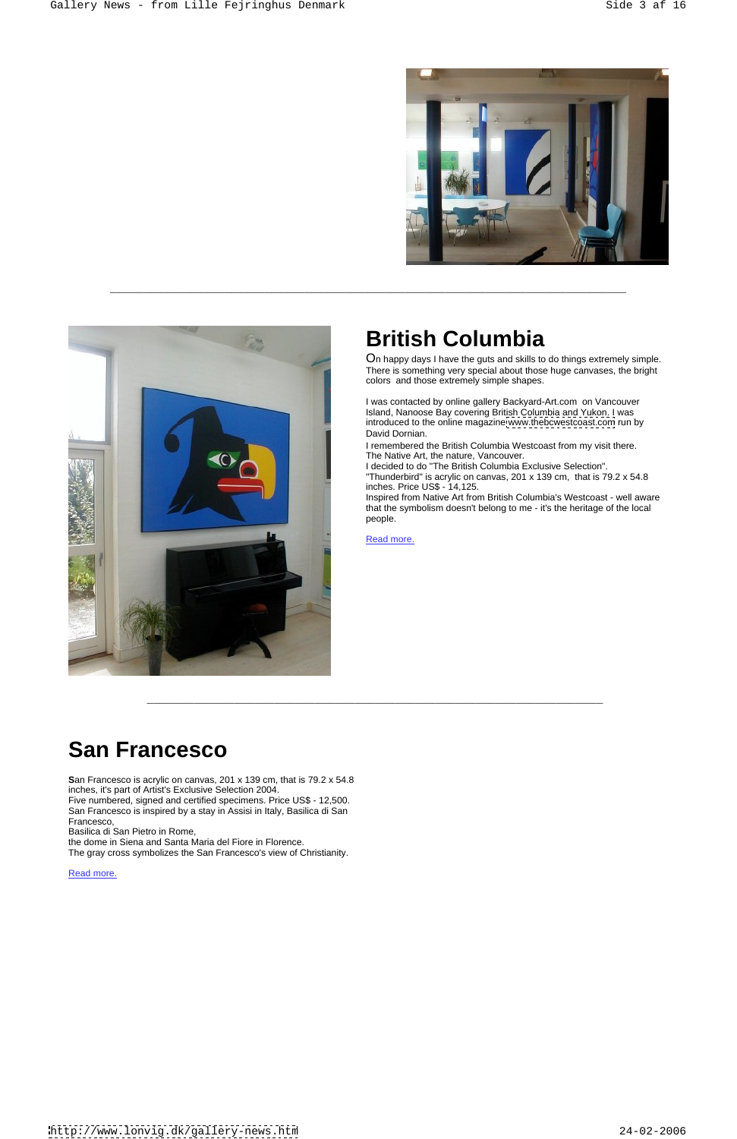\_\_\_\_\_\_\_\_\_\_\_\_\_\_\_\_\_\_\_\_\_\_\_\_\_\_\_\_\_\_\_\_\_\_\_\_\_\_\_\_\_\_\_\_\_\_\_\_\_\_\_\_\_\_\_\_\_\_\_\_\_\_\_\_\_\_\_\_\_\_\_\_\_\_\_\_\_





On happy days I have the guts and skills to do things extremely simple. There is something very special about those huge canvases, the bright colors and those extremely simple shapes.

Inspired from Native Art from British Columbia's Westcoast - well aware that the symbolism doesn't belong to me - it's the heritage of the local people. The contract of the contract of the contract of the contract of the contract of the contract of the contract of the contract of the contract of the contract of the contract of the contract of the contract of the co

Read more. The contract of the contract of the contract of the contract of the contract of the contract of the contract of the contract of the contract of the contract of the contract of the contract of the contract of the

I was contacted by online gallery Backyard-Art.com on Vancouver Island, Nanoose Bay covering British Columbia and Yukon. I was introduced to the online magazine [www.thebcwestcoast.com](http://www.thebcwestcoast.com) run by David Dornian.

I remembered the British Columbia Westcoast from my visit there. The Native Art, the nature, Vancouver.

I decided to do "The British Columbia Exclusive Selection". "Thunderbird" is acrylic on canvas, 201 x 139 cm, that is 79.2 x 54.8 inches. Price US\$ - 14,125.

# **San Francesco**

**S**an Francesco is acrylic on canvas, 201 x 139 cm, that is 79.2 x 54.8 inches, it's part of Artist's Exclusive Selection 2004. Five numbered, signed and certified specimens. Price US\$ - 12,500. San Francesco is inspired by a stay in Assisi in Italy, Basilica di San Francesco,

Basilica di San Pietro in Rome,

the dome in Siena and Santa Maria del Fiore in Florence. The gray cross symbolizes the San Francesco's view of Christianity.

Read more. The contract of the contract of the contract of the contract of the contract of the contract of the contract of the contract of the contract of the contract of the contract of the contract of the contract of the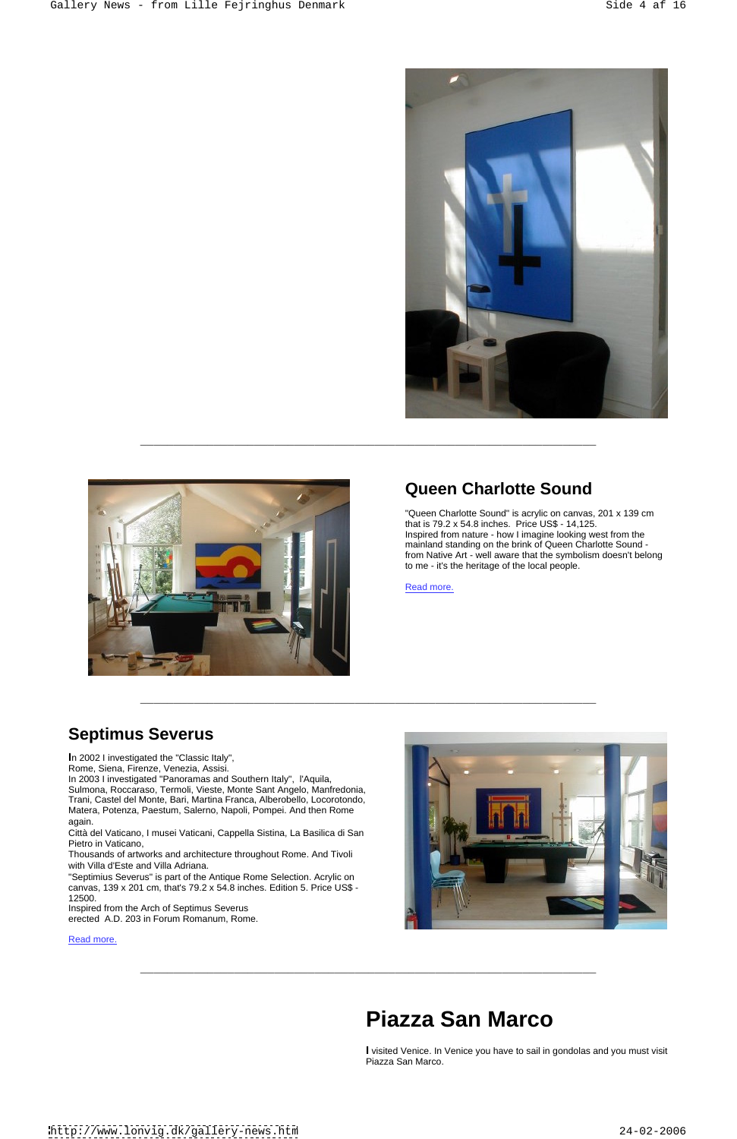



"Queen Charlotte Sound" is acrylic on canvas, 201 x 139 cm that is 79.2 x 54.8 inches. Price US\$ - 14,125. Inspired from nature - how I imagine looking west from the mainland standing on the brink of Queen Charlotte Sound from Native Art - well aware that the symbolism doesn't belong to me - it's the heritage of the local people.

Read more. **Example 20** No. 2014 12:30:30 No. 2014 12:30:30 No. 2014 12:30:30 No. 2014 12:30:30 No. 2014 12:30:30 No. 2014 12:30:30 No. 2014 12:30:30 No. 2014 12:30:30 No. 2014 12:30:30 No. 2014 12:30:30 No. 2014 12:30:30

## **Septimus Severus**



**I**n 2002 I investigated the "Classic Italy", Sulmona, Roccaraso, Termoli, Vieste, Monte Sant Angelo, Manfredonia, Trani, Castel del Monte, Bari, Martina Franca, Alberobello, Locorotondo, Matera, Potenza, Paestum, Salerno, Napoli, Pompei. And then Rome

Città del Vaticano, I musei Vaticani, Cappella Sistina, La Basilica di San

Pietro in Vaticano,

Thousands of artworks and architecture throughout Rome. And Tivoli with Villa d'Este and Villa Adriana.

"Septimius Severus" is part of the Antique Rome Selection. Acrylic on canvas, 139 x 201 cm, that's 79.2 x 54.8 inches. Edition 5. Price US\$ - 12500.

Inspired from the Arch of Septimus Severus erected A.D. 203 in Forum Romanum, Rome.

# **Piazza San Marco**

**I** visited Venice. In Venice you have to sail in gondolas and you must visit Piazza San Marco.

<http://www.lonvig.dk/gallery-news.htm> 24-02-2006

 $\overline{a_1}$  ,  $\overline{a_2}$  ,  $\overline{a_3}$  ,  $\overline{a_4}$  ,  $\overline{a_5}$  ,  $\overline{a_6}$  ,  $\overline{a_7}$  ,  $\overline{a_8}$  ,  $\overline{a_9}$  ,  $\overline{a_9}$  ,  $\overline{a_9}$  ,  $\overline{a_9}$  ,  $\overline{a_9}$  ,  $\overline{a_9}$  ,  $\overline{a_9}$  ,  $\overline{a_9}$  ,  $\overline{a_9}$  ,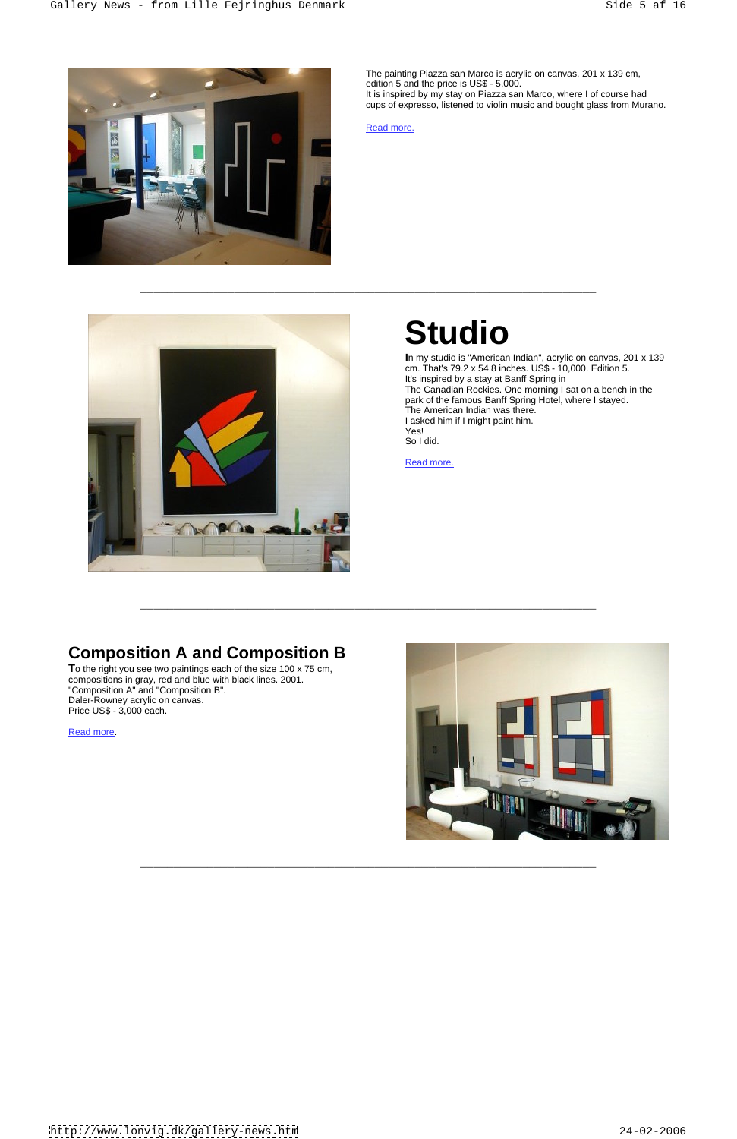$\overline{a_1}$  ,  $\overline{a_2}$  ,  $\overline{a_3}$  ,  $\overline{a_4}$  ,  $\overline{a_5}$  ,  $\overline{a_6}$  ,  $\overline{a_7}$  ,  $\overline{a_8}$  ,  $\overline{a_9}$  ,  $\overline{a_9}$  ,  $\overline{a_9}$  ,  $\overline{a_9}$  ,  $\overline{a_9}$  ,  $\overline{a_9}$  ,  $\overline{a_9}$  ,  $\overline{a_9}$  ,  $\overline{a_9}$  ,

 $\overline{a_1}$  ,  $\overline{a_2}$  ,  $\overline{a_3}$  ,  $\overline{a_4}$  ,  $\overline{a_5}$  ,  $\overline{a_6}$  ,  $\overline{a_7}$  ,  $\overline{a_8}$  ,  $\overline{a_9}$  ,  $\overline{a_9}$  ,  $\overline{a_9}$  ,  $\overline{a_9}$  ,  $\overline{a_9}$  ,  $\overline{a_9}$  ,  $\overline{a_9}$  ,  $\overline{a_9}$  ,  $\overline{a_9}$  ,

 $\overline{a_1}$  ,  $\overline{a_2}$  ,  $\overline{a_3}$  ,  $\overline{a_4}$  ,  $\overline{a_5}$  ,  $\overline{a_6}$  ,  $\overline{a_7}$  ,  $\overline{a_8}$  ,  $\overline{a_9}$  ,  $\overline{a_9}$  ,  $\overline{a_9}$  ,  $\overline{a_9}$  ,  $\overline{a_9}$  ,  $\overline{a_9}$  ,  $\overline{a_9}$  ,  $\overline{a_9}$  ,  $\overline{a_9}$  ,



**I**n my studio is "American Indian", acrylic on canvas, 201 x 139 cm. That's 79.2 x 54.8 inches. US\$ - 10,000. Edition 5. It's inspired by a stay at Banff Spring in The Canadian Rockies. One morning I sat on a bench in the park of the famous Banff Spring Hotel, where I stayed. The American Indian was there. I asked him if I might paint him.<br>Yes! Yes! So I did. **So I did.** The same of the same of the same of the same of the same of the same of the same of the same of the same of the same of the same of the same of the same of the same of the same of the same of the same

Read more. The contract of the contract of the contract of the contract of the contract of the contract of the contract of the contract of the contract of the contract of the contract of the contract of the contract of the

The painting Piazza san Marco is acrylic on canvas, 201 x 139 cm, edition 5 and the price is US\$ - 5,000. It is inspired by my stay on Piazza san Marco, where I of course had cups of expresso, listened to violin music and bought glass from Murano.

Read more. The contract of the contract of the contract of the contract of the contract of the contract of the contract of the contract of the contract of the contract of the contract of the contract of the contract of the



# **Studio**

## **Composition A and Composition B**

**T**o the right you see two paintings each of the size 100 x 75 cm, compositions in gray, red and blue with black lines. 2001. Price US\$ - 3,000 each.

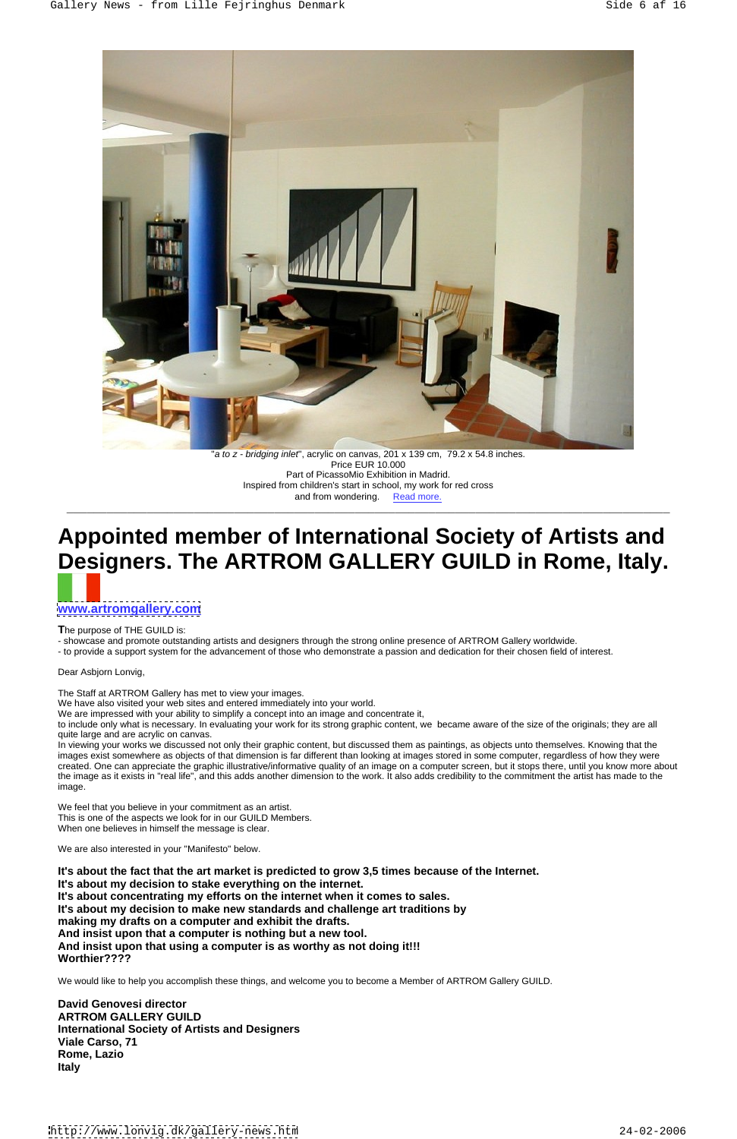

a to z - bridging inlet", acrylic on canvas, 201 x 139 cm, 79.2 x 54.8 inches"<br>Price EUR 10.000 Price EUR 10.000 Part of PicassoMio Exhibition in Madrid. Inspired from children's start in school, my work for red cross and from wondering. Read more. \_\_\_\_\_\_\_\_\_\_\_\_\_\_\_\_\_\_\_\_\_\_\_\_\_\_\_\_\_\_\_\_\_\_\_\_\_\_\_\_\_\_\_\_\_\_\_\_\_\_\_\_\_\_\_\_\_\_\_\_\_\_\_\_\_\_\_\_\_\_\_\_\_\_\_\_\_\_\_\_\_\_\_\_\_\_\_\_\_\_

# **Appointed member of International Society of Artists and Designers. The ARTROM GALLERY GUILD in Rome, Italy.**

## **[www.artromgallery.com](http://www.artromgallery.com)**

The purpose of THE GUILD is:<br>- showcase and promote outstanding artists and designers through the strong online presence of ARTROM Gallery worldwide.<br>- to provide a support system for the advancement of those who demonstra

In viewing your works we discussed not only their graphic content, but discussed them as paintings, as objects unto themselves. Knowing that the images exist somewhere as objects of that dimension is far different than looking at images stored in some computer, regardless of how they were created. One can appreciate the graphic illustrative/informative quality of an image on a computer screen, but it stops there, until you know more about the image as it exists in "real life", and this adds another dimension to the work. It also adds credibility to the commitment the artist has made to the image. The contract of the contract of the contract of the contract of the contract of the contract of the contract of the contract of the contract of the contract of the contract of the contract of the contract of the con

Dear Asbjorn Lonvig,

The Staff at ARTROM Gallery has met to view your images.

We have also visited your web sites and entered immediately into your world.

We are impressed with your ability to simplify a concept into an image and concentrate it,

to include only what is necessary. In evaluating your work for its strong graphic content, we became aware of the size of the originals; they are all quite large and are acrylic on canvas.

We feel that you believe in your commitment as an artist. This is one of the aspects we look for in our GUILD Members. When one believes in himself the message is clear.

We are also interested in your "Manifesto" below.

**It's about the fact that the art market is predicted to grow 3,5 times because of the Internet. It's about my decision to stake everything on the internet. It's about concentrating my efforts on the internet when it comes to sales. It's about my decision to make new standards and challenge art traditions by making my drafts on a computer and exhibit the drafts. And insist upon that a computer is nothing but a new tool. And insist upon that using a computer is as worthy as not doing it!!! Worthier????**

We would like to help you accomplish these things, and welcome you to become a Member of ARTROM Gallery GUILD.

**David Genovesi director ARTROM GALLERY GUILD International Society of Artists and Designers Viale Carso, 71 Rome, Lazio Italy**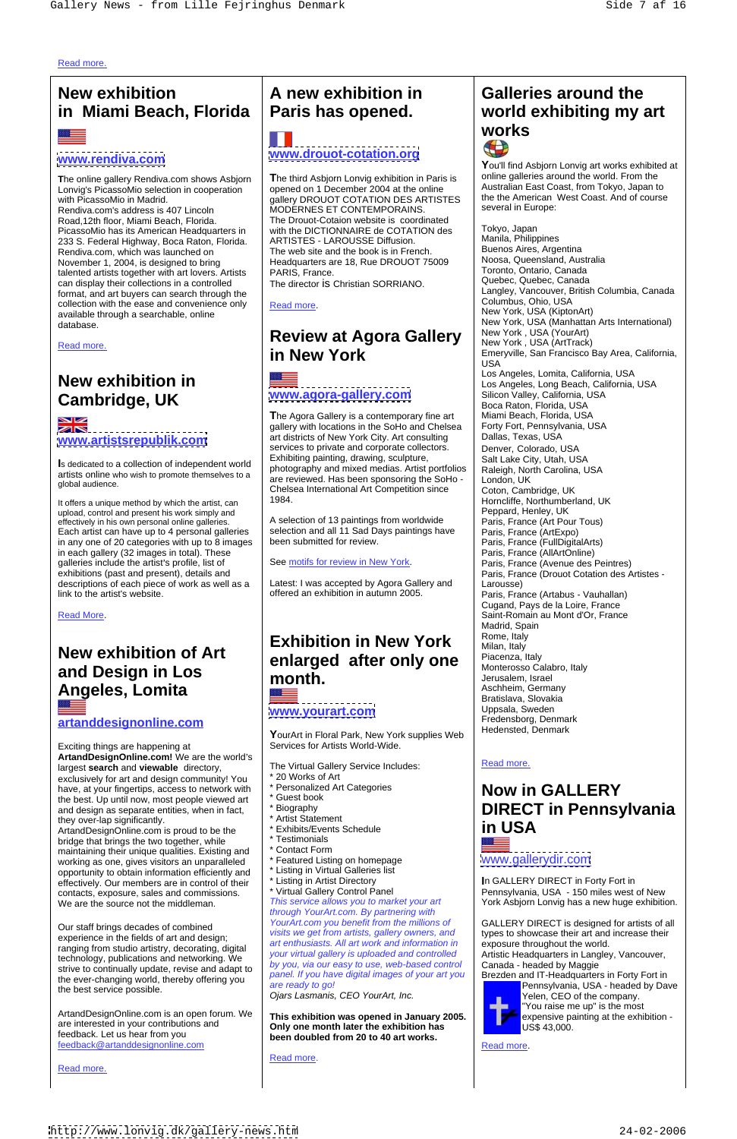Read more. The contract of the contract of the contract of the contract of the contract of the contract of the contract of the contract of the contract of the contract of the contract of the contract of the contract of the

## **New exhibition in Miami Beach, Florida**

**T**he online gallery Rendiva.com shows Asbjorn Lonvig's PicassoMio selection in cooperation with PicassoMio in Madrid. | gallery DROUOT COTATION DES ARTISTES | <sup>the the</sup> American West Coast. And of course | Rendiva.com's address is 407 Lincoln MODERNES ET CONTEMPORAINS. Road,12th floor, Miami Beach, Florida. The Drouot-Cotaion website is coordinated  $\Box$ PicassoMio has its American Headquarters in<br>
233 S. Federal Highway, Boca Raton, Florida ARTISTES - LAROUSSE Diffusion. 233 S. Federal Highway, Boca Raton, Florida. | ARTISTES - LAROUSSE Diffusion. | Manua, Philippines<br>Rendiva com which was launched on | The web site and the book is in French. | Buenos Aires, Argentina Rendiva.com, which was launched on The web site and the book is in French.<br>November 1, 2004, is designed to bring Headquarters are 18, Rue DROUOT 75009 Noosa, Queensland, Australia November 1, 2004, is designed to bring **Army Headquarters are 18, Rue DROUOT 75**009 Reads, Queensland, Australia talented artists together with art lovers. Artists | PARIS, France. can display their collections in a controlled format, and art buyers can search through the determining the collection with the ease and convenience only and post mere collection with the ease and convenience only and post mere collection with the ease and convenience collection with the ease and convenience only  $\Box$  Read more. available through a searchable, online



It offers a unique method by which the artist, can upload, control and present his work simply and effectively in his own personal online galleries. Each artist can have up to 4 personal galleries said selection and all 11 Sad D<br>in any one of 20 categories with up to 8 images been submitted for review. in any one of 20 categories with up to 8 images in each gallery (32 images in total). These galleries include the artist's profile, list of exhibitions (past and present), details and Paris, France (Drouot Cotation des Artistes descriptions of each piece of work as well as a  $\left|$  Latest: I was accepted by Agora Gallery and  $\left|$  Larousse)

# **Angeles, Lomita Angeles Lomita Property Community Respectively.** Aschheim, Germany

Exciting things are happening at **ArtandDesignOnline.com!** We are the world's The Virtual Gallery Service Includes: Read more. largest **search** and **viewable** directory, exclusively for art and design community! You  $\begin{array}{r} \n\ast 20 \text{ Works of Art} \\
\text{have at your functions. access to network with} \n\end{array}$   $\ast$  Personalized Art Categories have, at your fingertips, access to network with  $\begin{array}{c} \n\ast \text{ }$  Personalize<br>the hest. Un until now, most people viewed art  $\end{array}$   $\ast$  Guest book the best. Up until now, most people viewed art  $\left| \begin{array}{c} \ast \text{Guest} \\ \text{S异} \end{array} \right|$ and design as separate entities, when in fact,  $\left| \begin{array}{c} \ast \text{ Biography} \\ \ast \text{ A} \text{ trist Statement} \end{array} \right|$ they over-lap significantly.<br>ArtandDesignOnline.com is proud to be the the the statement<br>the Exhibits/Events Schedule the the statement of the statement of the statement of the SA

**[www.artistsrepublik.com](http://www.artistsrepublik.com)** art districts of New York City. Art consulting Dallas, Texas, USA Is dedicated to a collection of independent world<br>
photography and mixed medias. Artist portfolios
Raleigh, North Carolina, USA artists online who wish to promote themselves to a<br>are reviewed. Has been sponsoring the SoHo - London, UK global audience.<br>
Chelsea International Art Competition since Coton. Cambridge. UK **The Agora Gallery is a contemporary fine art Miami Beach, Florida, USA**<br> **gallery with locations in the SoHo and Chelsea** Forty Fort, Pennsylvania, USA gallery with locations in the SoHo and Chelsea | Forty Fort, Pennsylv<br>art districts of New York City. Art consulting | Dallas, Texas, USA art districts of New York City. Art consulting services to private and corporate collectors. | Denver, Colorado, USA Exhibiting painting, drawing, sculpture, photography and mixed medias. Artist portfolios are reviewed. Has been sponsoring the SoHo -

> A selection of 13 paintings from worldwide selection and all 11 Sad Days paintings have

See motifs for review in New York.

ArtandDesignOnline.com is proud to be the

## Read more. New York , USA (ArtTrack) **Review at Agora Gallery**

# and **Design in Los month. https://wonterparts.org/calabro.** Italy **enlarged after only one**

YourArt in Floral Park, New York supplies Web Fuedensted, Denmark Services for Artists World-Wide.

\* Listing in Artist Directory **I**n GALLERY DIRECT in Forty Fort in \* Virtual Gallery Control Panel Pennsylvania, USA - 150 miles west of New the contract of the contract of the contract of the contract of the contract of the contract of the contract of

experience in the fields of art and design; ranging from studio artistry, decorating, digital technology, publications and networking. We the ever-changing world, thereby offering you are ready to go! the best service possible.

We are the source not the middleman. This service allows you to market your art York Asbjorn Lonvig has a new huge exhibition. Our staff brings decades of combined<br>
visits we get from artists, gallery owners, and<br>
visits we get from artists, gallery owners, and strive to continually update, revise and adapt to panel. If you, we our easy to use, web-passed continuous<br>the over changing world, thereby offering you. through YourArt.com. By partnering with art enthusiasts. All art work and information in your virtual gallery is uploaded and controlled by you, via our easy to use, web-based control panel. If you have digital images of your art you  $\parallel$  Brezden and IT-Headquarters in Forty Fort in are ready to go! The Contract of the Contract of the Pennsylvania, USA - headed by Dave Ojars Lasmanis, CEO YourArt, Inc.

are interested in your contributions and **Only one month later the exhibition has** US\$ 43,000. feedback. Let us hear from you **been doubled from 20 to 40 art works. This exhibition was opened in January 2005. Only one month later the exhibition has** 

Read more. The contract of the contract of the contract of the contract of the contract of the contract of the contract of the contract of the contract of the contract of the contract of the contract of the contract of the

## **EXECUTE:**<br> **EXECUTE:**<br> **1999 WWW.drouot-cotation.org**<br> **1999 WWW.drouot-cotation.org**<br> **1999 WWW.drouot-cotation.org A new exhibition in Paris has opened. world exhibiting my art Galleries around the works**

ArtandDesignOnline.com is an open forum. We feedback@artanddesignonline.com

Read more. The contract of the contract of the contract of the contract of the contract of the contract of the contract of the contract of the contract of the contract of the contract of the contract of the contract of the

# **[www.drouot-cotation.org](http://www.drouot-cotation.org)**

**T**he third Asbjorn Lonvig exhibition in Paris is opened on 1 December 2004 at the online with the DICTIONNAIRE de COTATION des ARTISTES - LAROUSSE Diffusion. The web site and the book is in French.

The director is Christian SORRIANO.

database. **Example 20 and 20 and 20 and 20 and 20 and 20 and 20 and 20 and 20 and 20 and 20 and 20 and 20 and 20 and 20 and 20 and 20 and 20 and 20 and 20 and 20 and 20 and 20 and 20 and 20 and 20 and 20 and 20 and 20 and New exhibition in**<br>
Los Angeles, Long Beach, California, USA **Cambridge, UK** MINITY MILET MUSIC REPORT THE SILICON VALLEY, California, USA MINITY REPORT TO A LIGARET METALLO<br>Boca Raton, Florida, USA link to the artist's website. Paris, France (Artabus - Vauhallan) Read More. Saint-Romain au Mont d'Or, France de la Grand de la Grand de Saint-Romain au Mont d'Or, France de l **New exhibition of Art artanddesignonline.com** Toronto, Ontario, Canada Read more. The community of the community of the community of the community of the community of the community of the community of the community of the community of the community of the community of the community of the com **in** New York **business of the Emeryville, San Francisco** Bay Area, California, **[www.agora-gallery.com](http://www.agora-gallery.com)** Horncliffe, Northumberland, UK been submitted for review. Paris, France (FullDigitalArts) **Exhibition in New York month. a a i l between lines i** *l* **l** *l l l* **<b>***l l l l l l l l l l l l l l l l l l l l l l l l l* **[www.yourart.com](http://www.yourart.com)** Tokyo, Japan Manila, Philippines Buenos Aires, Argentina Noosa, Queensland, Australia Toronto, Ontario, Canada Quebec, Quebec, Canada Langley, Vancouver, British Columbia, Canada Columbus, Ohio, USA New York, USA (KiptonArt) New York , USA (YourArt) Emeryville, San Francisco Bay Area, California, USA Property and the contract of the contract of the contract of the contract of the contract of the contract of the contract of the contract of the contract of the contract of the contract of the contract of the contract Los Angeles, Lomita, California, USA Los Angeles, Long Beach, California, USA Silicon Valley, California, USA Boca Raton, Florida, USA Miami Beach, Florida, USA Forty Fort, Pennsylvania, USA Dallas, Texas, USA Denver, Colorado, USA Salt Lake City, Utah, USA Raleigh, North Carolina, USA London, UK Coton, Cambridge, UK Horncliffe, Northumberland, UK Peppard, Henley, UK Paris, France (Art Pour Tous) Paris, France (ArtExpo) Paris, France (AllArtOnline) Paris, France (Avenue des Peintres) Larousse) Cugand, Pays de la Loire, France Madrid, Spain Rome, Italy **Rome**, Italy **Rome**, Italy **Rome** Milan, Italy Piacenza, Italy **Exercise Serversity** Monterosso Calabro, Italy Jerusalem, Israel Aschheim, Germany Bratislava, Slovakia Uppsala, Sweden Fredensborg, Denmark Hedensted, Denmark

Read more. **Read more**.

### **Now in GALLERY** \* Guest book **book book** and the set of the set of the set of the set of the set of the set of the set of the set of the set of the set of the set of the set of the set of the set of the set of the set of the set of the  $^*$  Exhibits/Events Schedule  $\hfill\blacksquare$   $\blacksquare$   $\blacksquare$   $\blacksquare$   $\blacksquare$   $\blacksquare$   $\blacksquare$   $\blacksquare$   $\blacksquare$   $\blacksquare$   $\blacksquare$   $\blacksquare$   $\blacksquare$   $\blacksquare$   $\blacksquare$   $\blacksquare$   $\blacksquare$   $\blacksquare$   $\blacksquare$   $\blacksquare$   $\blacksquare$   $\blacksquare$   $\blacksquare$   $\blacksquare$   $\blacksquare$   $\blacksquare$   $\blacksquare$ **Now in GALLERY in USA**

bridge that brings the two together, while **the set of the state of the maintaining their unique qualities** Existing and  $\frac{1}{2}$  \* Contact Form maintaining their unique qualities. Existing and  $\left| \begin{array}{c} \ast \text{ Contact Form} \\ \text{Fortract Form} \end{array} \right|$  on homepage working as one, gives visitors an unparalleled  $\left| \begin{array}{c} \ast \text{Featureed Listing on homepage} \\ \text{For each } \end{array} \right|$ working as one, gives visitors an unparalleled opportunity to obtain information efficiently and  $\mid$  \* Listing in Virtual Galleries<br>effectively. Our members are in control of their  $\mid$  \* Listing in Artist Directory effectively. Our members are in control of their  $\mid$  \* Listing in Artist Directory<br>contacts, exposure, sales and commissions. \* Virtual Gallery Control Panel contacts, exposure, sales and commissions.<br>We are the source not the middleman. This service allows you to market your art

> YourArt.com you benefit from the millions of GALLERY DIRECT is designed for artists of all visits we get from artists, gallery owners, and  $\|\cdot\|$  types to showcase their art and increase their  $\|\cdot\|$ exposure throughout the world. Artistic Headquarters in Langley, Vancouver, Canada - headed by Maggie



Latest: I was accepted by Agora Gallery and offered an exhibition in autumn 2005.

- The Virtual Gallery Service Includes:
- \* 20 Works of Art
- 
- 
- 
- \* Artist Statement
- 

- 
- 
- \* Featured Listing on homepage
- \* Listing in Virtual Galleries list
- 

**Y**ou'll find Asbjorn Lonvig art works exhibited at online galleries around the world. From the Australian East Coast, from Tokyo, Japan to the the American West Coast. And of course several in Europe:



Yelen, CEO of the company. "You raise me up" is the most expensive painting at the exhibition - US\$ 43,000.

Read more. The contract of the contract of the contract of the contract of the contract of the contract of the contract of the contract of the contract of the contract of the contract of the contract of the contract of the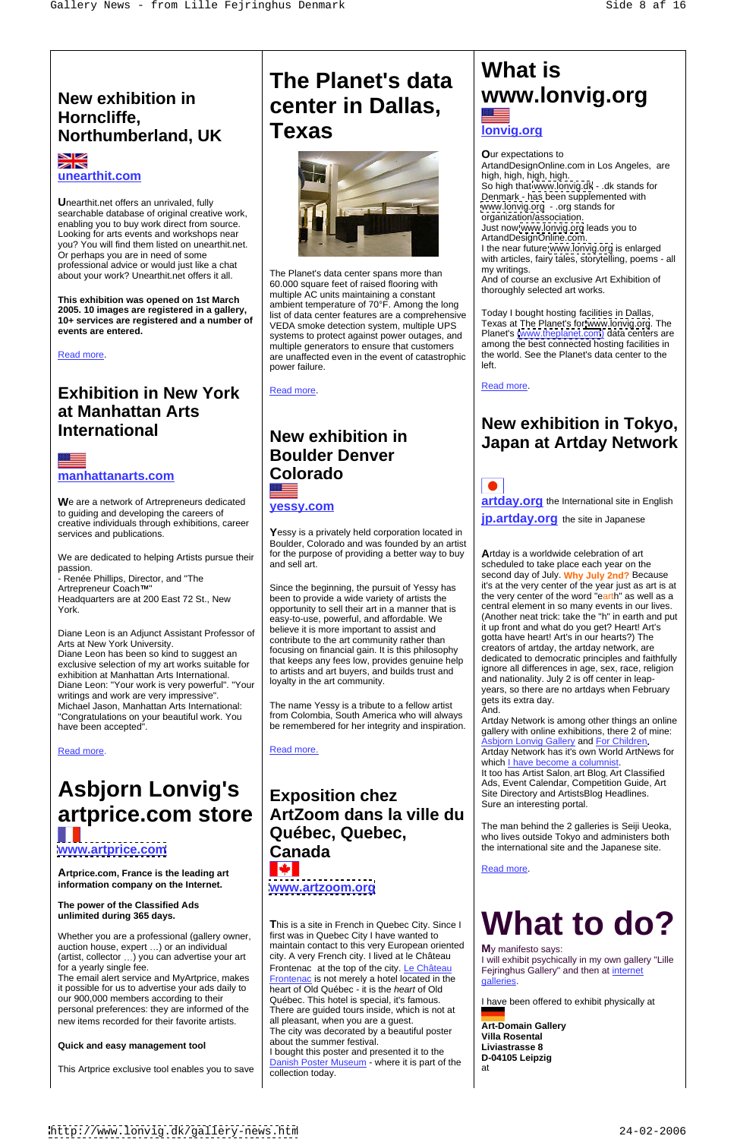# **Northumberland, UK**



**U**nearthit.net offers an unrivaled, fully searchable database of original creative work, enabling you to buy work direct from source. Looking for arts events and workshops near you? You will find them listed on unearthit.net. Or perhaps you are in need of some professional advice or would just like a chat professional advice or would just like a chat The Planet's data center spans more than about your work? Unearthit.net offers it all.

**The art of a network of Artrepreneurs dedicated**<br>to guiding and developing the careers of **yessy.com** creative individuals through exhibitions, career

We are dedicated to helping Artists pursue their | for the purpose

**This exhibition was opened on 1st March 2005. 10 images are registered in a gallery, 10+ services are registered and a number of** 

Diane Leon is an Adjunct Assistant Professor of Arts at New York University. Diane Leon has been so kind to suggest an exclusive selection of my art works suitable for exhibition at Manhattan Arts International.<br>Diane Leon: "Your work is very powerful". "Your loyalty in the art community. Diane Leon: "Your work is very powerful". "Your writings and work are very impressive". Michael Jason, Manhattan Arts International: The name Yessy is a tribute to a fellow artist | 30.0 "Congratulations on your beautiful work. You have been accepted".<br>
allow with online arbitrions, there 2 of mine:

# **Exhibition in New York at Manhattan Arts**

Headquarters are at 200 East 72 St., New

**events are entered.**<br>
Systems to protect against power outages, and Planet's [\(www.theplanet.com](http://www.theplanet.com)) data centers are Read more state that  $\vert$  are unaffected even in the event of catastrophic  $\vert$  the world. See the Planet's data center to the The Planet's data center spans more than 60.000 square feet of raised flooring with multiple AC units maintaining a constant ambient temperature of 70°F. Among the long list of data center features are a comprehensive VEDA smoke detection system, multiple UPS systems to protect against power outages, and multiple generators to ensure that customers power failure.

Read more. The contract of the contract of the contract of the contract of the contract of the contract of the contract of the contract of the contract of the contract of the contract of the contract of the contract of the

services and publications. **Wessy is a privately held corporation located in** Boulder, Colorado and was founded by an artist for the purpose of providing a better way to buy

# **Asbjorn Lonvig's**

## **New exhibition in www.lonvig.org** Horncliffe,<br>Northumberland UK **Texas The Planet's data center in Dallas, Texas Denvigory Texas**



**information company on the Internet.**

## **The power of the Classified Ads**

Whether you are a professional (gallery owner, (artist, collector ...) you can advertise your art

# **manhattanarts.com Boulder Denver Colorado**

## artprice.com store | ArtZoom dans la ville du | The non behind the 3 collection is Soili Licelia **[www.artprice.com](http://www.artprice.com) Artprice.com, France is the leading art Arthur Lines is the leading art** and **Arthur Lines is the leading art** and **Arthur Lines is the leading art** and **Arthur Lines is the leading art** and **Arthur Lines is the leadi Exposition chez** Site Directory and ArtistsBlog Headlines. **ArtZoom dans la ville du Québec, Quebec,** The man behind the 2 galleries is Seiji Ueoka, who lives outside Tokyo and administers both **Canada Canada Example 1** the international site and the Japanese site. **[www.artzoom.org](http://www.artzoom.org)**

it possible for us to advertise your ads daily to our 900,000 members according to their <br> Québec. This hotel is special, it's famous. personal preferences: they are informed of the

auction house, expert ...) or an individual  $\parallel$  maintain contact to this very European oriented  $\parallel$  M<sub>V</sub> manifesto says: for a yearly single fee. The same control of the top of the city. Le Château Feiringhus Gallery and then at internet The email alert service and MyArtprice, makes  $\vert$  Frontenac is not merely a hotel located in the  $\vert$  calleries. new items recorded for their favorite artists. | all pleasant, when you are a guest. | Art-Domain Gallery Quick and easy management tool about the summer lesuval. This Artprice exclusive tool enables you to save  $\int_{0}^{\frac{1}{2}} \frac{\cos(\theta)}{\cosh(\theta)} \frac{\cos(\theta)}{\cos(\theta)}$  at **T**his is a site in French in Quebec City. Since I first was in Quebec City I have wanted to city. A very French city. I lived at le Château **Frontenac** is not merely a hotel located in the heart of Old Québec - it is the heart of Old Québec. This hotel is special, it's famous.  $\vert$  I have been offered to exhibit physically at  $\vert$ There are guided tours inside, which is not at all pleasant, when you are a guest. The city was decorated by a beautiful poster **Fig. 1411-Domain Government Control** villa Rosental about the summer festival. I bought this poster and presented it to the<br>D-04105 Leipzig Danish Poster Museum - where it is part of the collection today.

Read more. The contract of the contract of the contract of the contract of the contract of the contract of the contract of the contract of the contract of the contract of the contract of the contract of the contract of the

**unearthit.com which is a set of the set of the set of the set of the set of the set of the set of the set of the set of the set of the set of the set of the set of the set of the set of the set of the set of the set of O**ur expectations to ArtandDesignOnline.com in Los Angeles, are high, high, high, high. So high that [www.lonvig.dk](http://www.lonvig.dk) - .dk stands for Denmark - has been supplemented with [www.lonvig.org](http://www.lonvig.org) - .org stands for organization/association. Just now [www.lonvig.org](http://www.lonvig.org) leads you to ArtandDesignOnline.com. I the near future [www.lonvig.org](http://www.lonvig.org) is enlarged with articles, fairy tales, storytelling, poems - all my writings. And of course an exclusive Art Exhibition of

> Today I bought hosting facilities in Dallas, Texas at The Planet's for [www.lonvig.org](http://www.lonvig.org). The among the best connected hosting facilities in the world. See the Planet's data center to the left. The contract of the contract of the contract of the contract of the contract of the contract of the contract of the contract of the contract of the contract of the contract of the contract of the contract of the cont

## **International New exhibition in Tokyo, New exhibition in Japan at Artday Network**

We are a network of Artrepreneurs dedicated **west com artday.org** the International site in English **yessy.com** and **artually org** the international site in English

**jp.artday.org** the site in Japanese

passion.<br>- Renée Phillips, Director, and "The **Cause Alliance Conducts"** and sell all.<br>- Renée Phillips, Director, and "The Cause" Artrepreneur Coach™" Since the beginning, the pursuit of Yessy has Shared The very center of the year just as art is at York. The same of the sell their art in a manner that is second that is the ment in so many events in our lives. and sell art. The scheduled to take place each year on the scheduled to take place each year on the scheduled loyalty in the art community.  $\vert$  and nationality. July 2 is off center in leap-**A**rtday is a worldwide celebration of art it's at the very center of the year just as art is at the very center of the word "earth" as well as a central element in so many events in our lives. (Another neat trick: take the "h" in earth and put it up front and what do you get? Heart! Art's gotta have heart! Art's in our hearts?) The creators of artday, the artday network, are dedicated to democratic principles and faithfully ignore all differences in age, sex, race, religion years, so there are no artdays when February gets its extra day. And. The contract of the contract of the contract of the contract of the contract of the contract of the contract of the contract of the contract of the contract of the contract of the contract of the contract of the contr

been to provide a wide variety of artists the easy-to-use, powerful, and affordable. We believe it is more important to assist and contribute to the art community rather than focusing on financial gain. It is this philosophy that keeps any fees low, provides genuine help to artists and art buyers, and builds trust and

Read more. Read more. Read more. Read more has it's own World ArtNews for Artday Network is among other things an online gallery with online exhibitions, there 2 of mine: Asbjorn Lonvig Gallery and For Children**.** which I have become a columnist It too has Artist Salon, art Blog, Art Classified Ads, Event Calendar, Competition Guide, Art Site Directory and ArtistsBlog Headlines. Sure an interesting portal.

## unlimited during 365 days.  $\qquad \qquad$ **What to do?**

I will exhibit psychically in my own gallery "Lille Fejringhus Gallery" and then at internet galleries. The contract of the contract of the contract of the contract of the contract of the contract of the contract of the contract of the contract of the contract of the contract of the contract of the contract of the

**Art-Domain Gallery Villa Rosental Liviastrasse 8 D-04105 Leipzig**  $\mathsf{a}$ t $\qquad \qquad$ 

The name Yessy is a tribute to a fellow artist from Colombia, South America who will always

# **What is lonvig.org**

thoroughly selected art works.

Read more.

The man behind the 2 galleries is Seiji Ueoka, who lives outside Tokyo and administers both the international site and the Japanese site.

**M**y manifesto says: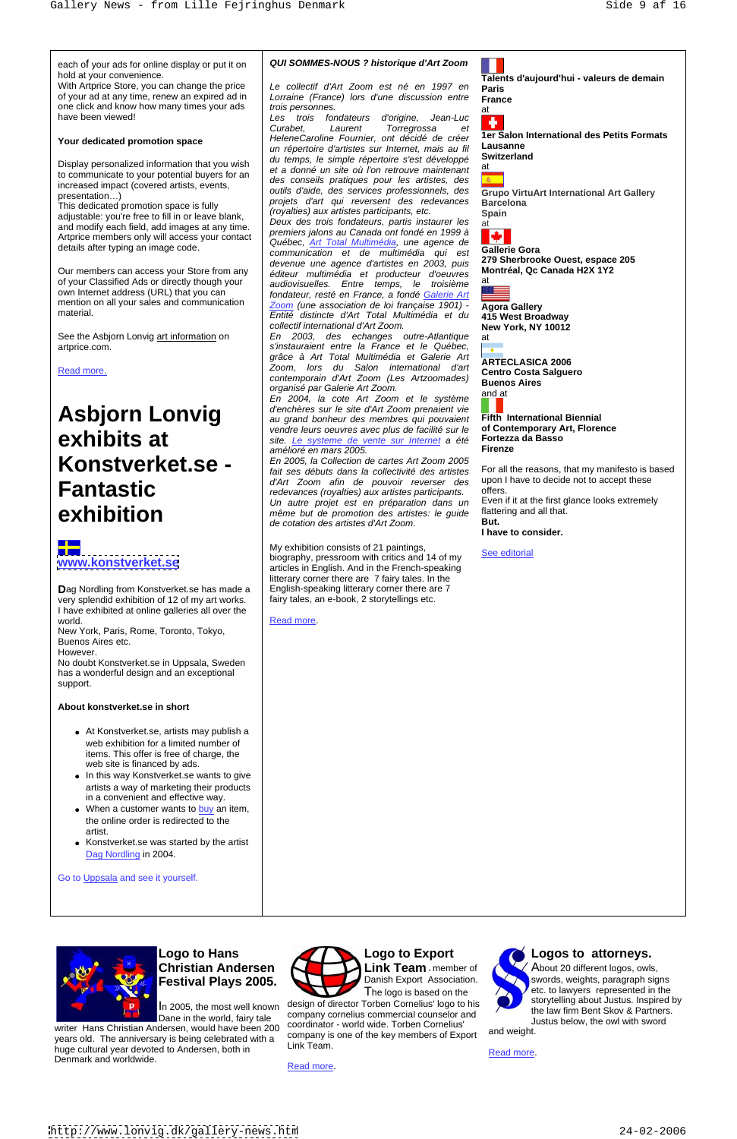hold at your convenience.

or your ad at any time, renew an expired ad in Lorraine (France) lors d'une discussion entre **France**<br>one click and know how many times your ads trois personnes.

adjustable: you're free to fill in or leave blank,<br>Deux des trois fondateurs, partis instaurer les at Artprice members only will access your contact

increased impact (covered artists, events,

**D**ag Nordling from Konstverket.se has made a very splendid exhibition of 12 of my art works. I have exhibited at online galleries all over the world. The contract of the contract of the contract of the contract of the contract of the contract of the contract of the contract of the contract of the contract of the contract of the contract of the contract of the con

own Internet address (URL) that you can

### each of your ads for online display or put it on  $\Box$  QUI SOMMES-NOUS ? historique d'Art Zoom **QUI SOMMES-NOUS ? historique d'Art Zoom**

# **Asbjorn Lonvig Konstverket.se -**

# ┽═

With Artprice Store, you can change the price  $|$  Le collectif d'Art Zoom est né en 1997 en **Paris** of your ad at any time, renew an expired ad in  $\Box$  Lorraine (France) lors d'une discussion entre  $\Box$ France Le collectif d'Art Zoom est né en 1997 en trois personnes.

New York, Paris, Rome, Toronto, Tokyo, Buenos Aires etc. However.

have been viewed!<br>
Les trois fondateurs d'origine, Jean-Luc **Your dedicated promotion space** HeleneCaroline Fournier, ont decide de creer in Lausanne Display personalized information that you wish  $\begin{bmatrix} \frac{du}{dt} & \frac{dv}{dt} \\ \frac{dv}{dt} & \frac{d\rho}{dt} & \frac{dv}{dt} \end{bmatrix}$  is the curve maintenant at to communicate to your potential buyers for an  $\left\vert \right\vert$  des conseils pratiques pour les artistes, des  $\left\vert \right\vert$  $\mathsf{presentation}$ ...) exercises  $\mathsf{prest}$  and  $\mathsf{prest}$  are  $\mathsf{prest}$  and  $\mathsf{prest}$  and  $\mathsf{prest}$  are  $\mathsf{prest}$  and  $\mathsf{prest}$  and  $\mathsf{prest}$  and  $\mathsf{prest}$  and  $\mathsf{prest}$  and  $\mathsf{prest}$  and  $\mathsf{prest}$  and  $\mathsf{prest}$  and  $\mathsf{prest}$  and This dedicated promotion space is fully<br>
reversent des redevances Barcelona<br>
covalties) aux artistes participants, etc.<br>
Spain Les trois fondateurs d'origine, Jean-Luc **de la commune de la commune de la commune de la commune de la commune d** Curabet, Laurent Torregrossa et HeleneCaroline Fournier, ont décidé de créer un répertoire d'artistes sur Internet, mais au fil Lausanne<br>du temps le simple réperteire s'est développé. Switzerland du temps, le simple répertoire s'est développé et a donné un site où l'on retrouve maintenant des conseils pratiques pour les artistes, des outils d'aide, des services professionnels, des projets d'art qui reversent des redevances (royalties) aux artistes participants, etc.

and modify each field, add images at any time.<br>Artprice members only will access your contact premiers jalons au Canada ont fondé en 1999 à details after typing an image code.<br>
and the setting of the setting of the setting of the setting of **Gallerie Gora** Our members can access your Store from any  $\parallel$  éditeur multimédia et producteur d'oeuvres **Montréal, Qc Canada H2X 1Y2** of your Classified Ads or directly though your and individualles Form temps le troisième at mention on all your sales and communication <u>Zoom</u> (une association de loi française 1901) - **Agora Gallery** material. **Entité distincte d'Art Total Multimédia et du 415 West Broadway** Deux des trois fondateurs, partis instaurer les premiers jalons au Canada ont fondé en 1999 à Québec, Art Total Multimédia, une agence de communication et de multimédia qui est devenue une agence d'artistes en 2003, puis audiovisuelles. Entre temps, le troisième fondateur, resté en France, a fondé Galerie Art Zoom (une association de loi française 1901) -Entité distincte d'Art Total Multimédia et du 415 West Broadway<br>Collectif international d'Art Zoom. New York, NY 10012 Le collectif d'at Zoom est norte d'aujourd'hui - valeurs de demain<br>Lomine (France) lors d'une decasion entre parte<br>Los proporos.<br>Les mois d'aujourd'hui - valeurs de demains de la proporte d'aujourd'hui - valeurs de deux<br>L

No doubt Konstverket.se in Uppsala, Sweden has a wonderful design and an exceptional support.

### **About konstverket.se in short**

- At Konstverket.se, artists may publish a web exhibition for a limited number of items. This offer is free of charge, the web site is financed by ads.
- In this way Konstverket.se wants to give artists a way of marketing their products in a convenient and effective way.
- When a customer wants to buy an item, the online order is redirected to the artist.

**exhibits at** site. Le systeme de vente sur litternet a été Fortezza da Basso<br>
amélioré en mars 2005 En 2004, la cote Art Zoom et le système d'enchères sur le site d'Art Zoom prenaient vie au grand bonheur des membres qui pouvaient vendre leurs oeuvres avec plus de facilité sur le **of Contemporary A** site le systeme de vente sur Internet a été **Fortezza da Basso** site. <u>Le systeme de vente sur Internet</u> a été **Fortezz**<br>amélioré en mars 2005 amélioré en mars 2005.

Konstverket.se was started by the artist Dag Nordling in 2004.

Go to Uppsala and see it yourself.



# **Festival Plays 2005.** The logo is based on the The logo is based on the

**Fantastic** and *d'Art Zoom afin de pouvoir reverser des* upon mave to decide not to accept these deprivalent and redevances (royalties) aux artistes participants. offers.  $\mathbf{exhibition}$  and the properties of the properties of the set of the second of the second of the second of the second of the second of the second of the second of the second of the second of the second of the second of the En 2005, la Collection de cartes Art Zoom 2005 fait ses débuts dans la collectivité des artistes d'Art Zoom afin de pouvoir reverser des upon-l<br>redevances (rovalties) aux artistes participants offers. redevances (royalties) aux artistes participants. Un autre projet est en préparation dans un même but de promotion des artistes: le guide <sup>flatte</sup><br>de cotation des artistes d'Art Zoom **But.** de cotation des artistes d'Art Zoom.

See the Asbjorn Lonvig art information on En 2003, des echanges outre-Atlantique artprice.com. | s'instauraient entre la France et le Québec, | <sub>●</sub> | Read more.<br>Read more.<br>
Read more. grâce à Art Total Multimédia et Galerie Art<br>Zesse des de Redes international "La **ARTECLASICA 2006** zoom, lois du Salon memadorial d'art<br>contemporain d'Art Zoom (Les Artzoomades) Buenos Aires organisé par Galerie Art Zoom.

**[www.konstverket.se](http://www.konstverket.se) budgraphy, pressroom with critics and 14 of my and the second of the second second with critics** and 14 of my **and the second second with the second second with the second second second second secon** My exhibition consists of 21 paintings,<br>
See editorial biography, pressroom with critics and 14 of my articles in English. And in the French-speaking litterary corner there are 7 fairy tales. In the English-speaking litterary corner there are 7 fairy tales, an e-book, 2 storytellings etc.

**Switzerland**  $\mathsf{a}$ t $\qquad \qquad$ 



### **Gallerie Gora 279 Sherbrooke Ouest, espace 205 Montréal, Qc Canada H2X 1Y2**  $\mathsf{a}$ t $\qquad \qquad$



**Agora Gallery 415 West Broadway New York, NY 10012**  $\mathsf{a}$ t $\qquad \qquad$ 

**Buenos Aires** and at the contract of the contract of the contract of the contract of the contract of the contract of the contract of the contract of the contract of the contract of the contract of the contract of the contract of the con

Christian Andersen **Andersen Action** Link Team member of About 20 different logos, owls, **Link Team** - member of **ALCOCO** About 20 different logos, owls, Danish Export Association. We swords, weights, paragraph signs The logo is based on the  $\sqrt{2}$  etc. to lawyers represented in the storytelling about Justus. Inspired by the law firm Bent Skov & Partners. Justus below, the owl with sword

**Paris France**



**1er Salon International des Petits Formats Lausanne**

**Grupo VirtuArt International Art Gallery Barcelona Spain**



**ARTECLASICA 2006 Centro Costa Salguero**

**Fifth International Biennial of Contemporary Art, Florence Fortezza da Basso Firenze**

For all the reasons, that my manifesto is based upon I have to decide not to accept these offers. Even if it at the first glance looks extremely flattering and all that.

**But.**

**I have to consider.**

See editorial and the set of the set of the set of the set of the set of the set of the set of the set of the set of the set of the set of the set of the set of the set of the set of the set of the set of the set of the se

Dane in the world, fairy tale

writer Hans Christian Andersen, would have been 200 COORCOLLIGOR - WORLD WIDE. TORDER COMPONS and weight. years old. The anniversary is being celebrated with a company is<br>bugs outwral year doveted to Anderson, both in Link Team. huge cultural year devoted to Andersen, both in **EXALGAL CONCLUST CONCLUST** Examples a structure of the Read more. Denmark and worldwide.<br>
Read more.



In 2005, the most well known design of director Torben Cornelius' logo to his the law firm Bent Skov & Partners company cornelius commercial counselor and coordinator - world wide. Torben Cornelius' company is one of the key members of Export Link Team. **Logo to Export**<br> **Link Team** - member of<br>
Danish Export Association.<br>
The logo is based on the<br>
design of director Torben Cornelius' logo to his<br>
company cornelius commercial counselor and<br>
coordinator - world wide. Torbe



## Logo to Hans **Contract Contract Contract Contract Contract Contract Contract Contract Contract Contract Contract Contract Contract Contract Contract Contract Contract Contract Contract Contract Contract Contract Contract C**

and weight.

Read more. The state of the state of the state of the state of the state of the state of the state of the state of the state of the state of the state of the state of the state of the state of the state of the state of the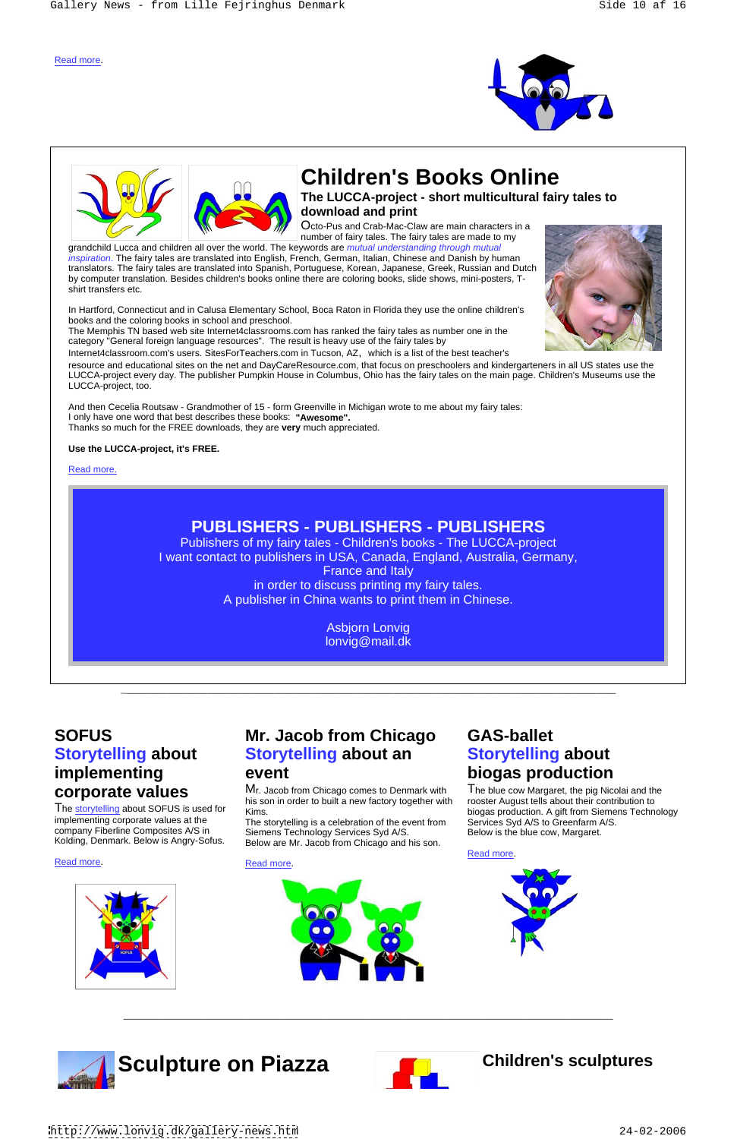\_\_\_\_\_\_\_\_\_\_\_\_\_\_\_\_\_\_\_\_\_\_\_\_\_\_\_\_\_\_\_\_\_\_\_\_\_\_\_\_\_\_\_\_\_\_\_\_\_\_\_\_\_\_\_\_\_\_\_\_\_\_\_\_\_\_\_\_\_\_\_\_\_\_

 $\overline{a_1}$  ,  $\overline{a_2}$  ,  $\overline{a_3}$  ,  $\overline{a_4}$  ,  $\overline{a_5}$  ,  $\overline{a_6}$  ,  $\overline{a_7}$  ,  $\overline{a_8}$  ,  $\overline{a_9}$  ,  $\overline{a_9}$  ,  $\overline{a_9}$  ,  $\overline{a_9}$  ,  $\overline{a_9}$  ,  $\overline{a_9}$  ,  $\overline{a_9}$  ,  $\overline{a_9}$  ,  $\overline{a_9}$  ,





# **Children's Books Online**

**The LUCCA-project - short multicultural fairy tales to download and print**

Octo-Pus and Crab-Mac-Claw are main characters in a number of fairy tales. The fairy tales are made to my

grandchild Lucca and children all over the world. The keywords are mutual understanding through mutual inspiration. The fairy tales are translated into English, French, German, Italian, Chinese and Danish by human translators. The fairy tales are translated into Spanish, Portuguese, Korean, Japanese, Greek, Russian and Dutch by computer translation. Besides children's books online there are coloring books, slide shows, mini-posters, T shirt transfers etc.

In Hartford, Connecticut and in Calusa Elementary School, Boca Raton in Florida they use the online children's books and the coloring books in school and preschool.

The Memphis TN based web site Internet4classrooms.com has ranked the fairy tales as number one in the category "General foreign language resources". The result is heavy use of the fairy tales by

The storytelling about SOFUS is used for Kims.<br>implementing corporate values at the The s company Fiberline Composites A/S in

# **SOFUS** Mr. Jacob from Chicago GAS-ballet **Storytelling about Storytelling about an**

Internet4classroom.com's users. SitesForTeachers.com in Tucson, AZ, which is a list of the best teacher's

**corporate values** Mr. Jacob from Chicago comes to Denmark with The blue cow Margaret, the pig Nicolai and the **corporation** his son in order to built a new factory together with

## event biogas production **Storytelling about biogas production**

resource and educational sites on the net and DayCareResource.com, that focus on preschoolers and kindergarteners in all US states use the LUCCA-project every day. The publisher Pumpkin House in Columbus, Ohio has the fairy tales on the main page. Children's Museums use the LUCCA-project, too.

implementing corporate values at the The storytelling is a celebration of the event from Services Syd A/S to Greenfarm A/S. **SOFUS**<br> **Mr.** Jacob from Chicago GAS-ballet<br> **Storytelling about**<br> **Mr.** Jacob from Chicago and **Storytelling about**<br> **Corporate values**<br> **Corporate values**<br> **Mr.** Jacob from Chicago comes to Denmark with The blue cow Mar Kims. biogas production. A gift from Siemens Technology **Mr. Jacob from Chicago** GAS-ballet<br> **Storytelling about an Storytelling about**<br>
Wr. Jacob from Chicago comes to Denmark with The blue cow Margaret, the pig Nicolai and the<br>
his son in order to built a new factory togeth The blue cow Margaret, the pig Nicolai and the rooster August tells about their contribution to Services Syd A/S to Greenfarm A/S. Below is the blue cow, Margaret.

And then Cecelia Routsaw - Grandmother of 15 - form Greenville in Michigan wrote to me about my fairy tales: I only have one word that best describes these books: **"Awesome".**  Thanks so much for the FREE downloads, they are **very** much appreciated.

### **Use the LUCCA-project, it's FREE.**

Read more. The contract of the contract of the contract of the contract of the contract of the contract of the contract of the contract of the contract of the contract of the contract of the contract of the contract of the



## **PUBLISHERS - PUBLISHERS - PUBLISHERS**

Publishers of my fairy tales - Children's books - The LUCCA-project I want contact to publishers in USA, Canada, England, Australia, Germany, France and Italy in order to discuss printing my fairy tales. A publisher in China wants to print them in Chinese.

> Asbjorn Lonvig lonvig@mail.dk

# **implementing**

Kolding, Denmark. Below is Angry-Sofus.



Siemens Technology Services Syd A/S.

Below are Mr. Jacob from Chicago and his son.



Read more. The contract of the contract of the contract of the contract of the contract of the contract of the contract of the contract of the contract of the contract of the contract of the contract of the contract of the





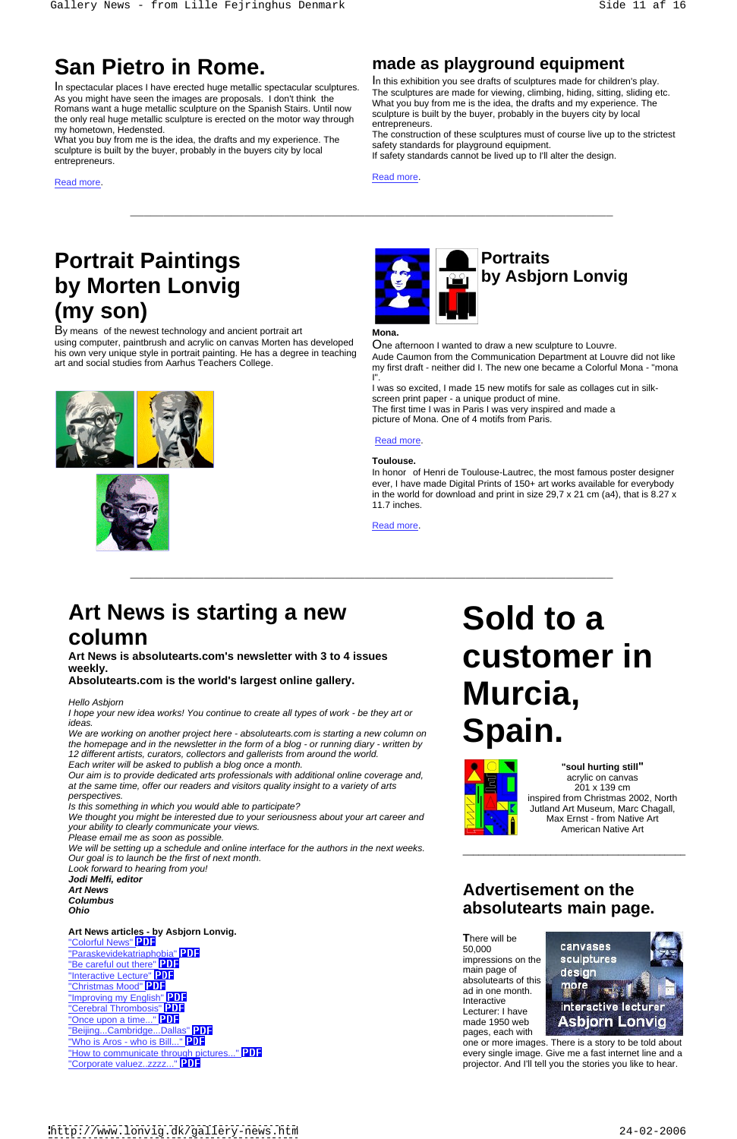$\overline{\phantom{a}}$  ,  $\overline{\phantom{a}}$  ,  $\overline{\phantom{a}}$  ,  $\overline{\phantom{a}}$  ,  $\overline{\phantom{a}}$  ,  $\overline{\phantom{a}}$  ,  $\overline{\phantom{a}}$  ,  $\overline{\phantom{a}}$  ,  $\overline{\phantom{a}}$  ,  $\overline{\phantom{a}}$  ,  $\overline{\phantom{a}}$  ,  $\overline{\phantom{a}}$  ,  $\overline{\phantom{a}}$  ,  $\overline{\phantom{a}}$  ,  $\overline{\phantom{a}}$  ,  $\overline{\phantom{a}}$ 

In spectacular places I have erected huge metallic spectacular sculptures. As you might have seen the images are proposals. I don't think the Romans want a huge metallic sculpture on the Spanish Stairs. Until now the only real huge metallic sculpture is erected on the motor way through entrepreneurs.

What you buy from me is the idea, the drafts and my experience. The sculpture is built by the buyer, probably in the buyers city by local sculpture is built by the buyer, probably in the buyers city by local lif safety standards cannot be lived up to I'll alter the design.<br>entrepreneurs.

San Pietro in Rome.<br>
Many property and a play of the state of the state of the state of the state of the state of the state of the state of the state of the state of the state of the state of the state of the state of the **San Pietro in Rome.**<br>
In spectacular places I have erected huge metallic spectacular sculptures. In this exhibition you see drafts of sculptures made for children's play.<br>
As you might have seen the images are proposals. In this exhibition you see drafts of sculptures made for children's play. The sculptures are made for viewing, climbing, hiding, sitting, sliding etc. What you buy from me is the idea, the drafts and my experience. The sculpture is built by the buyer, probably in the buyers city by local entrepreneurs. The contract of the contract of the contract of the contract of the contract of the contract of the contract of the contract of the contract of the contract of the contract of the contract of the contract of

my hometown, Hedensted.<br>What you have from me in the idea, the drefts and my experience. The construction of these sculptures must of course live up to the strictest safety standards for playground equipment.

Read more. The contract of the contract of the contract of the contract of the contract of the contract of the contract of the contract of the contract of the contract of the contract of the contract of the contract of the

# **Portrait Paintings Portraits by Morten Lonvig (my son)**

By means of the newest technology and ancient portrait art **Mona** using computer, paintbrush and acrylic on canvas Morten has developed his own very unique style in portrait painting. He has a degree in teaching art and social studies from Aarhus Teachers College.







**Art News is absolutearts.com's newsletter with 3 to 4 issues Art News is absolutearts.com's newsletter with 3 to 4 issues CUStOMer in The weekly.** 



## **Mona.**

One afternoon I wanted to draw a new sculpture to Louvre. Aude Caumon from the Communication Department at Louvre did not like my first draft - neither did I. The new one became a Colorful Mona - "mona I".

I was so excited, I made 15 new motifs for sale as collages cut in silk screen print paper - a unique product of mine. The first time I was in Paris I was very inspired and made a picture of Mona. One of 4 motifs from Paris.

### Read more. The contract of the contract of the contract of the contract of the contract of the contract of the contract of the contract of the contract of the contract of the contract of the contract of the contract of the

## **Toulouse.**

In honor of Henri de Toulouse-Lautrec, the most famous poster designer ever, I have made Digital Prints of 150+ art works available for everybody in the world for download and print in size 29,7 x 21 cm (a4), that is  $8.27 \times$ 11.7 inches.

Read more. The contract of the contract of the contract of the contract of the contract of the contract of the contract of the contract of the contract of the contract of the contract of the contract of the contract of the

# **Art News is starting a new column**

**Absolutearts.com is the world's largest online gallery.**

I hope your new idea works! You continue to create all types of work - be they art or

The great Homes and White Team Collection and the second of the second of the second of the second of the second<br>We are working on another project here - absolutearts.com is starting a new column on<br>the homepage and in the We are working on another project here - absolutearts.com is starting a new column on the homepage and in the newsletter in the form of a blog - or running diary - written by 12 different artists, curators, collectors and gallerists from around the world. Each writer will be asked to publish a blog once a month. **Example 20 and September 20 and September** 2011 **Soul hurting still** 

Our aim is to provide dedicated arts professionals with additional online coverage and, **The contract of the contract of the contract of the contract of the contract of the contract of canvas** at the same time, offer our readers and visitors quality insight to a variety of arts **the same time, of the same time**, offer our readers and visitors quality insight to a variety of arts perspectives. The contract of the contract of the contract of the contract of the contract of the contract of the contract of the contract of the contract of the contract of the contract of the contract of the contract of

Is this something in which you would able to participate?

# Hello Asbjorn **Murcia, Sold to a**



We thought you might be interested due to your seriousness about your art career and your ability to clearly communicate your views.

**Art News articles - by Asbjorn Lonvig.**

"Colorful News" **PDF**<br>"Decepte idelectric photo" **PDF Canvases**<br>"Perceloridelectric photo" **PDF** Example 1998 | Carry as the control of the careful out there. The careful out there is no set of the careful out there is no set of the careful out there is no set of the sculptures in the sculptures in the sculptures is n "Be careful out there" **PDF** examples with the setting of the setting of the setting of the setting of the setting of the setting of the setting of the setting of the setting of the setting of the setting of the sign setti "Interactive Lecture" PDF "Christmas Mood" PDF **Exercise 2008** absoluted to this **contract to the more** <u>"Improving my English" PDF</u><br>"Cerebral Thrombosis" PDF Note that the state of the state of the state of the state of the state of the state of the state of the state of the state of the state of the state of the state of t "Cerebral Thrombosis" PDF **Exercises** and the contract of the contract of the contract of the contract of the contract of the contract of the contract of the contract of the contract of the contract of the contract of the "Once upon a time..." **PDF** The contract of the contract of the contract of the contract of the contract of the contract of the contract of the contract of the contract of the contract of the contract of the contract of th "Beijing...Cambridge...Dallas" PDF<br>"Who is Aros - who is Bill..." PDF

Please email me as soon as possible. We will be setting up a schedule and online interface for the authors in the next weeks. Our goal is to launch be the first of next month. Look forward to hearing from you! **Jodi Melfi, editor Art News Advertisement on the Columbus Ohio absolutearts main page.**

**"soul hurting still"** acrylic on canvas 201 x 139 cm Jutland Art Museum, Marc Chagall, Max Ernst - from Native Art American Native Art

\_\_\_\_\_\_\_\_\_\_\_\_\_\_\_\_\_\_\_\_\_\_\_\_\_\_\_\_\_\_\_\_\_\_\_\_\_\_\_\_\_\_\_



"Who is Aros - who is Bill..." **PDF Superint Contract and Superint Contract Contract one or more images. There is a story to be told about** "How to communicate through pictures..." **PDF** exery single image. Give me a fast internet line and a "Corporate valuez..zzzz..." **PDF** extending the stories of the projector. And I'll tell you the stories you like to hear.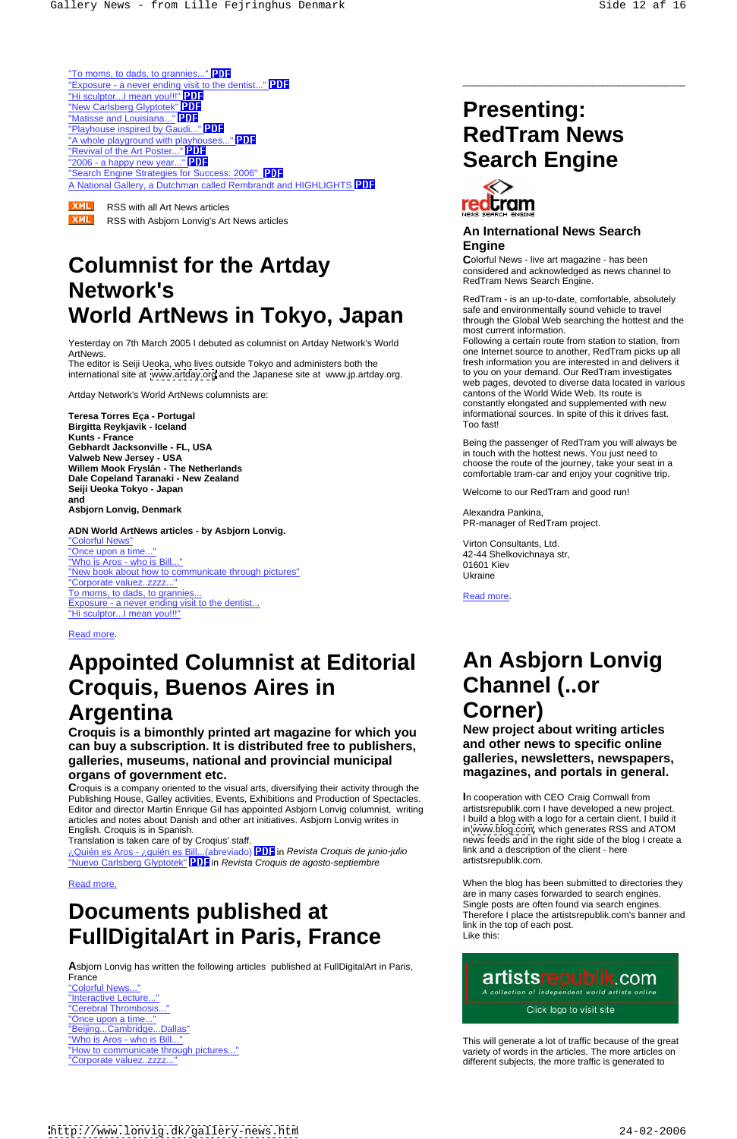**XML** RSS with Asbjorn Lonvig's Art News articles

Yesterday on 7th March 2005 I debuted as columnist on Artday Network's World ArtNews. And the source to another, RedTram picks up all one Internet source to another, RedTram picks up all

# **Columnist for the Artday Network's**<br>RedTram - is an up-to-date, comfortable, absolutely **World ArtNews in Tokyo, Japan**

The editor is Seiji Ueoka, who lives outside Tokyo and administers both the international site at [www.artday.org](http://www.artday.org) and the Japanese site at www.jp.artday.org.

Artday Network's World ArtNews columnists are:

**Kunts - France Willem Mook Fryslân - The Netherlands Dale Copeland Taranaki - New Zealand Seiji Ueoka Tokyo - Japan**  Welcome to our RedTram and good run! **and Asbjorn Lonvig, Denmark**

Translation is taken care of by Croqius' staff. news feeds and in the right side of the blog I create a ¿Quién es Aros - ¿quién es Bill...(abreviado) in Revista Croquis de junio-julio "Nuevo Carlsberg Glyptotek" **PDF** in Revista Croquis de agosto-septiembre

**A**sbjorn Lonvig has written the following articles published at FullDigitalArt in Paris, France **Reserves and Service Service Service Service Service Service Service Service Service Service Service Service** 

"Interactive Lecture..." "Cerebral Thrombosis..." Cerebral Thrombosis..." "Once upon a time..." <u>"Beijing...Cambridge...Dallas"</u><br><u>"Who is Aros - who is Bill..."</u>

**ADN World ArtNews articles - by Asbjorn Lonvig.** "Colorful News" "Once upon a time... "Who is Aros - who is Bill..." "New book about how to communicate through pictures"<br>Ukraine "Corporate valuez..zzzz..." To moms, to dads, to grannies...<br>
The moms, to dads, to grannies... Exposure - a never ending visit to the dentist... "Hi sculptor...I mean you!!!"

### Read more. The contract of the contract of the contract of the contract of the contract of the contract of the contract of the contract of the contract of the contract of the contract of the contract of the contract of the

"Who is Aros - who is Bill..." This will generate a lot of traffic because of the great "How to communicate through pictures..." variety of words in the articles. The more articles on "Corporate valuez..zzzz..."<br>
different subjects, the more traffic is generated to

# **Appointed Columnist at Editorial Croquis, Buenos Aires in Argentina**

Virton Consultants, Ltd. 42-44 Shelkovichnaya str, 01601 Kiev Ukraine **Ukraine** and the state of the state of the state of the state of the state of the state of the state of the state of the state of the state of the state of the state of the state of the state of the state of the s

Read more. The contract of the contract of the contract of the contract of the contract of the contract of the contract of the contract of the contract of the contract of the contract of the contract of the contract of the

**Teresa Torres Eça - Portugal** informational sources. In spite of this it drives fast. **Birgitta Reykjavik - Iceland** Following a certain route from station to station, from fresh information you are interested in and delivers it to you on your demand. Our RedTram investigates web pages, devoted to diverse data located in various cantons of the World Wide Web. Its route is constantly elongated and supplemented with new Too fast!

# **Documents published at FullDigitalArt in Paris, France**

**Gebhardt Jacksonville - FL, USA Valweb New Jersey - USA** Being the passenger of RedTram you will always be in touch with the hottest news. You just need to choose the route of the journey, take your seat in a comfortable tram-car and enjoy your cognitive trip.



\_\_\_\_\_\_\_\_\_\_\_\_\_\_\_\_\_\_\_\_\_\_\_\_\_\_\_\_\_\_\_\_\_\_\_\_\_\_\_\_\_\_\_

"To moms, to dads, to grannies..." PDF "Exposure - a never ending visit to the dentist..." PDF "Hi sculptor...I mean you!!!" PDF<br>"New Carlsberg Glyptotek" PDF **Thew Carlsberg Glyptotek" PDF**<br>"Natisse and Louisiana..." **PDF** "Matisse and Louisiana..." PDF  $\frac{1}{2}$   $\frac{1}{2}$   $\frac{1}{2}$   $\frac{1}{2}$   $\frac{1}{2}$   $\frac{1}{2}$   $\frac{1}{2}$   $\frac{1}{2}$   $\frac{1}{2}$   $\frac{1}{2}$   $\frac{1}{2}$   $\frac{1}{2}$   $\frac{1}{2}$   $\frac{1}{2}$   $\frac{1}{2}$   $\frac{1}{2}$   $\frac{1}{2}$   $\frac{1}{2}$   $\frac{1}{2}$   $\frac{1}{2}$   $\frac{1}{2}$   $\frac{1}{2}$  "A whole playground with playhouses..." PDF "Revival of the Art Poster..." PDF "2006 - a happy new year..." **Search Engine** "Search Engine Strategies for Success: 2006" PDF A National Gallery, a Dutchman called Rembrandt and HIGHLIGHTS PDF<br>XML RSS with all Art News articles

# **RedTram News**



## **An International News Search Engine**

**Croquis is a bimonthly printed art magazine for which you can buy a subscription. It is distributed free to publishers, galleries, museums, national and provincial municipal organs of government etc. magazines, and portals in general.**

**C**olorful News - live art magazine - has been considered and acknowledged as news channel to RedTram News Search Engine.

**C**roquis is a company oriented to the visual arts, diversifying their activity through the Publishing House, Galley activities, Events, Exhibitions and Production of Spectacles. Editor and director Martin Enrique Gil has appointed Asbjorn Lonvig columnist, writing articles and notes about Danish and other art initiatives. Asbjorn Lonvig writes in English. Croquis is in Spanish. in [www.blog.com,](http://www.blog.com) which generates RSS and ATOM

 RedTram - is an up-to-date, comfortable, absolutely safe and environmentally sound vehicle to travel through the Global Web searching the hottest and the most current information.

Read more. When the blog has been submitted to directories they are in many cases forwarded to search engines. Single posts are often found via search engines. Therefore I place the artistsrepublik.com's banner and link in the top of each post. Like this:

Alexandra Pankina, PR-manager of RedTram project.

# **An Asbjorn Lonvig Channel (..or Corner)**

**New project about writing articles and other news to specific online galleries, newsletters, newspapers,** 

**I**n cooperation with CEO Craig Cornwall from artistsrepublik.com I have developed a new project. I build a blog with a logo for a certain client, I build it

link and a description of the client - here artistsrepublik.com.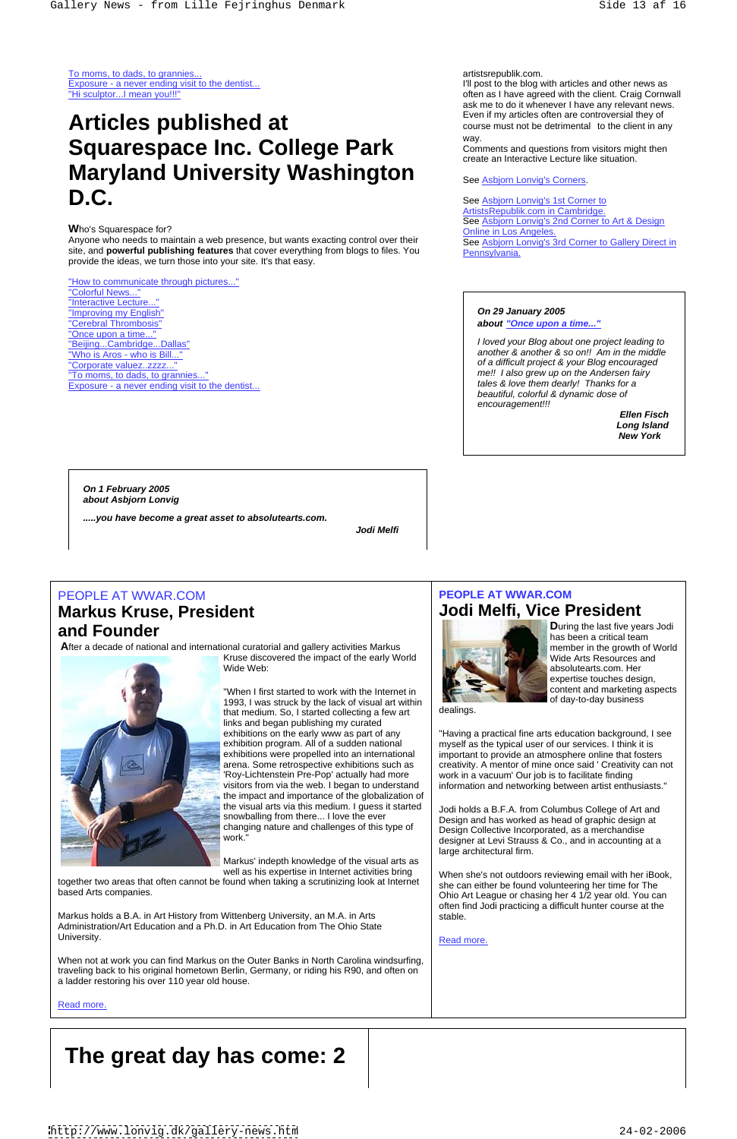To moms, to dads, to grannies... example the contract of the contract of the contract of the contract of the contract of the contract of the contract of the contract of the contract of the contract of the contract of the c

Exposure - a never ending visit to the dentist... I'll post to the blog with articles and other news as "Hi sculptor...I mean you!!!" often as I have agreed with the client. Craig Cornwall artistsrepublik.com.<br>
In post to the blog with articles and other news as<br>
often as I have agreed with the client. Craig Cornwall<br>
as far are to do it whenever it have any relevant news.<br>
Even if my articles often are cont ask me to do it whenever I have any relevant news. Even if my articles often are controversial they of course must not be detrimental to the client in any way.

## **W**ho's Squarespace for?

### "How to communicate through pictures..." "Colorful News..."

Anyone who needs to maintain a web presence, but wants exacting control over their site, and **powerful publishing features** that cover everything from blogs to files. You **Pennsylvania.** provide the ideas, we turn those into your site. It's that easy.

"Interactive Lecture... <u>"Improving my English"</u><br>"Cerebra<u>l Thrombosis"</u> "Cerebral Thrombosis" **about "Once upon a time..."** "Once upon a time... "To moms, to dads, to grannies... Exposure - a never ending visit to the dentist...

# **Articles published at Squarespace Inc. College Park Maryland University Washington D.C.** See Asbjorn Lonvig's 1st Corner to

**On 1 February 2005 about Asbjorn Lonvig**

**.....you have become a great asset to absolutearts.com.**

Kruse discovered the impact of the early World Wide Web: **Absolutearts.com. Her** absolutearts.com. Her absolute and the set of the set of the set of the set of the set of the set of the set of the set of the set of the set of the set of the set of the set of the set of

exhibitions on the early www as part of any "Having a practical fine arts education background, I see exhibition program. All of a sudden national myself as the typical user of our services. I think it is exhibitions were propelled into an international  $\qquad$  important to provide an atmosphere online that fosters  $\qquad$ arena. Some retrospective exhibitions such as  $\left\vert \right.$  creativity. A mentor of mine once said ' Creativity can not  $\left. \right\vert$ 'Roy-Lichtenstein Pre-Pop' actually had more | work in a vacuum' Our job is to facilitate finding | visitors from via the web. I began to understand  $\quad \mid \;$  information and networking between artist enthusiasts."  $\qquad \mid \;$ 

"Beijing...Cambridge...Dallas" I loved your Blog about one project leading to "Who is Aros - who is Bill..." another & another & so on!! Am in the middle "Corporate valuez..zzzz..." Corporate valuez..zzzz..." Corporate valuez..zzzz..." me!! I also grew up on the Andersen fairy tales & love them dearly! Thanks for a beautiful, colorful & dynamic dose of encouragement!!!

Comments and questions from visitors might then create an Interactive Lecture like situation.

See Asbjorn Lonvig's Corners.

together two areas that often cannot be found when taking a scrutinizing look at Internet based Arts companies.<br>
Ohio Art League or chasing her 4 1/2 year old. You can

## ArtistsRepublik.com in Cambridge. See Asbjorn Lonvig's 2nd Corner to Art & Design Online in Los Angeles. See Asbjorn Lonvig's 3rd Corner to Gallery Direct in Pennsylvania.

Markus holds a B.A. in Art History from Wittenberg University, an M.A. in Arts Administration/Art Education and a Ph.D. in Art Education from The Ohio State University. The contract of the contract of the contract of the contract of the contract of the contract of the contract of the contract of the contract of the contract of the contract of the contract of the contract of th

# **On 29 January 2005**

## PEOPLE AT WWAR.COM **PEOPLE AT WWAR.COM PEOPLE AT WWAR.COM Jodi Melfi, Vice President**



**and Founder and Founder Found in the last five years Jodi (1)** and the state of the last five years Jodi (1) and  $\overline{\mathbf{a}}$  are a critical team of the last five years Jodi (1) and  $\overline{\mathbf{b}}$  are a critical team of t **D**uring the last five years Jodi has been a critical team member in the growth of World Wide Arts Resources and expertise touches design, content and marketing aspects of day-to-day business

dealings. **Example 20** is a set of the set of the set of the set of the set of the set of the set of the set of the set of the set of the set of the set of the set of the set of the set of the set of the set of the set of

**Ellen Fisch Long Island New York** 

# **Markus Kruse, President**

**A**fter a decade of national and international curatorial and gallery activities Markus



work."<br>
Mork." **Subset and the set of the set of the set of the set of the set of the set of the set of the set of the set of the set of the set of the set of the set of the set of the set of the set of the set of the set** Jodi holds a B.F.A. from Columbus College of Art and Design and has worked as head of graphic design at Design Collective Incorporated, as a merchandise large architectural firm.

"When I first started to work with the Internet in 1993, I was struck by the lack of visual art within  $\overline{\phantom{a}}$  dealings. that medium. So, I started collecting a few art links and began publishing my curated the impact and importance of the globalization of the visual arts via this medium. I guess it started snowballing from there... I love the ever changing nature and challenges of this type of

Markus' indepth knowledge of the visual arts as well as his expertise in Internet activities bring

When not at work you can find Markus on the Outer Banks in North Carolina windsurfing, traveling back to his original hometown Berlin, Germany, or riding his R90, and often on a ladder restoring his over 110 year old house.

Read more. The contract of the contract of the contract of the contract of the contract of the contract of the contract of the contract of the contract of the contract of the contract of the contract of the contract of the

When she's not outdoors reviewing email with her iBook, she can either be found volunteering her time for The often find Jodi practicing a difficult hunter course at the stable.

Read more. The contract of the contract of the contract of the contract of the contract of the contract of the contract of the contract of the contract of the contract of the contract of the contract of the contract of the

# **The great day has come: 2**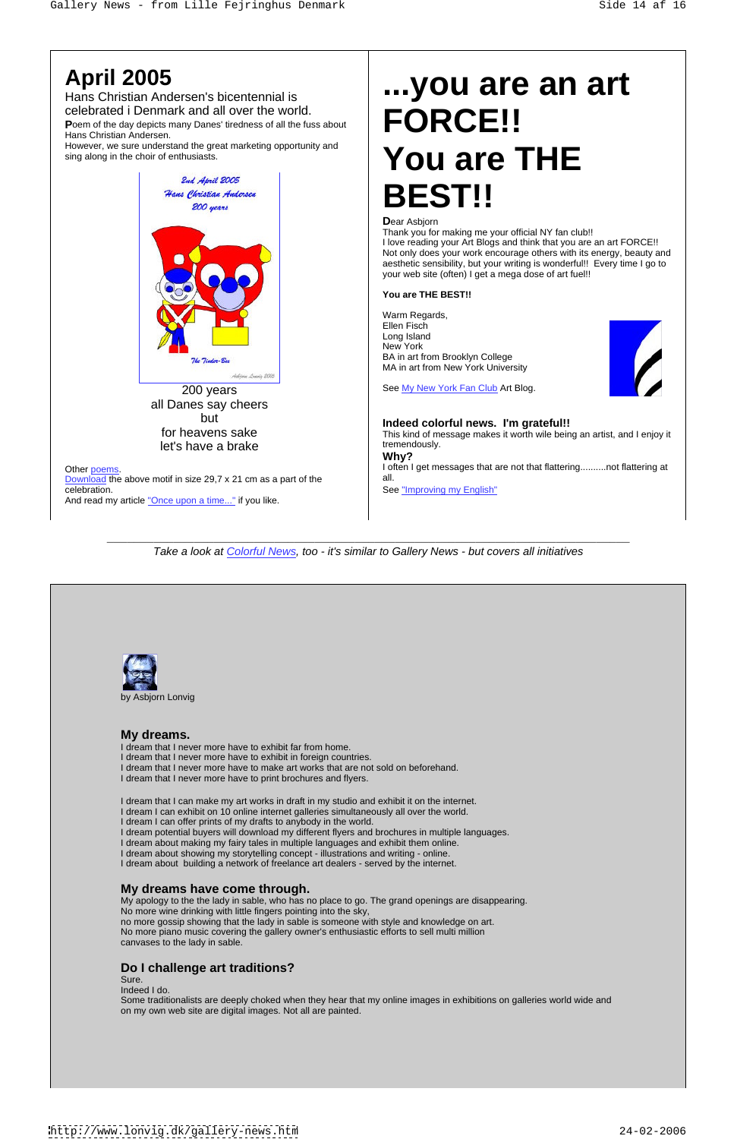\_\_\_\_\_\_\_\_\_\_\_\_\_\_\_\_\_\_\_\_\_\_\_\_\_\_\_\_\_\_\_\_\_\_\_\_\_\_\_\_\_\_\_\_\_\_\_\_\_\_\_\_\_\_\_\_\_\_\_\_\_\_\_\_\_\_\_\_\_\_\_\_\_\_\_\_\_\_

Poem of the day depicts many Danes' tiredness of all the fuss about Hans Christian Andersen.

However, we sure understand the great marketing opportunity and sing along in the choir of enthusiasts.  $\blacksquare$   $\blacksquare$   $\blacksquare$   $\blacksquare$   $\blacksquare$   $\blacksquare$   $\blacksquare$   $\blacksquare$   $\blacksquare$   $\blacksquare$   $\blacksquare$   $\blacksquare$   $\blacksquare$   $\blacksquare$   $\blacksquare$   $\blacksquare$   $\blacksquare$   $\blacksquare$   $\blacksquare$   $\blacksquare$   $\blacksquare$   $\blacksquare$   $\blacksquare$   $\blacksquare$   $\blacksquare$   $\blacksquare$ 



Hans Christian Andersen's bicentennial is celebrated i Denmark and all over the world.

> 200 years **See My New York Fan Club** Art Blog. all Danes say cheers

Download the above motif in size 29,7 x 21 cm as a part of the all. celebration. See "Improving my English" And read my article "Once upon a time..." if you like.

# **April 2005 ...you are an art FORCE!! You are THE BEST!!**

## **D**ear Asbjorn

Thank you for making me your official NY fan club!!

I love reading your Art Blogs and think that you are an art FORCE!! Not only does your work encourage others with its energy, beauty and aesthetic sensibility, but your writing is wonderful!! Every time I go to your web site (often) I get a mega dose of art fuel!!

but **Indeed colorful news. I'm grateful!!** for heavens sake This kind of message makes it worth wile being an artist, and I enjoy it let's have a brake the contract of the temendously. Other <u>poems</u>. The same of the same of the same of the same of that flattering...........not flattering at a same of the same of that flattering..........not flattering at tremendously. The contract of the contract of the contract of the contract of the contract of the contract of the contract of the contract of the contract of the contract of the contract of the contract of the contract of **Why?**  all.

Take a look at Colorful News, too - it's similar to Gallery News - but covers all initiatives



### **You are THE BEST!!**

Warm Regards, Ellen Fisch in der Stadt andere eine Stadt andere eine Stadt andere eine Stadt andere eine Stadt andere eine S Long Island **Example 2018 Contract Contract Contract Contract Contract Contract Contract Contract Contract Contract Contract Contract Contract Contract Contract Contract Contract Contract Contract Contract Contract Contr** New York **New York New York New York New York New York New York New York New York New York New York New York New York New York New York New York New York New York New York New York New** BA in art from Brooklyn College MA in art from New York University



by Asbjorn Lonvig

## **My dreams.**

I dream that I never more have to exhibit far from home. I dream that I never more have to exhibit in foreign countries. I dream that I never more have to make art works that are not sold on beforehand. I dream that I never more have to print brochures and flyers.

I dream that I can make my art works in draft in my studio and exhibit it on the internet. I dream I can exhibit on 10 online internet galleries simultaneously all over the world. I dream I can offer prints of my drafts to anybody in the world. I dream potential buyers will download my different flyers and brochures in multiple languages.

I dream about making my fairy tales in multiple languages and exhibit them online. I dream about showing my storytelling concept - illustrations and writing - online. I dream about building a network of freelance art dealers - served by the internet.

## **My dreams have come through.**

My apology to the the lady in sable, who has no place to go. The grand openings are disappearing. No more wine drinking with little fingers pointing into the sky, no more gossip showing that the lady in sable is someone with style and knowledge on art. No more piano music covering the gallery owner's enthusiastic efforts to sell multi million canvases to the lady in sable.

## **Do I challenge art traditions?**

Sure.

Indeed I do.

Some traditionalists are deeply choked when they hear that my online images in exhibitions on galleries world wide and on my own web site are digital images. Not all are painted.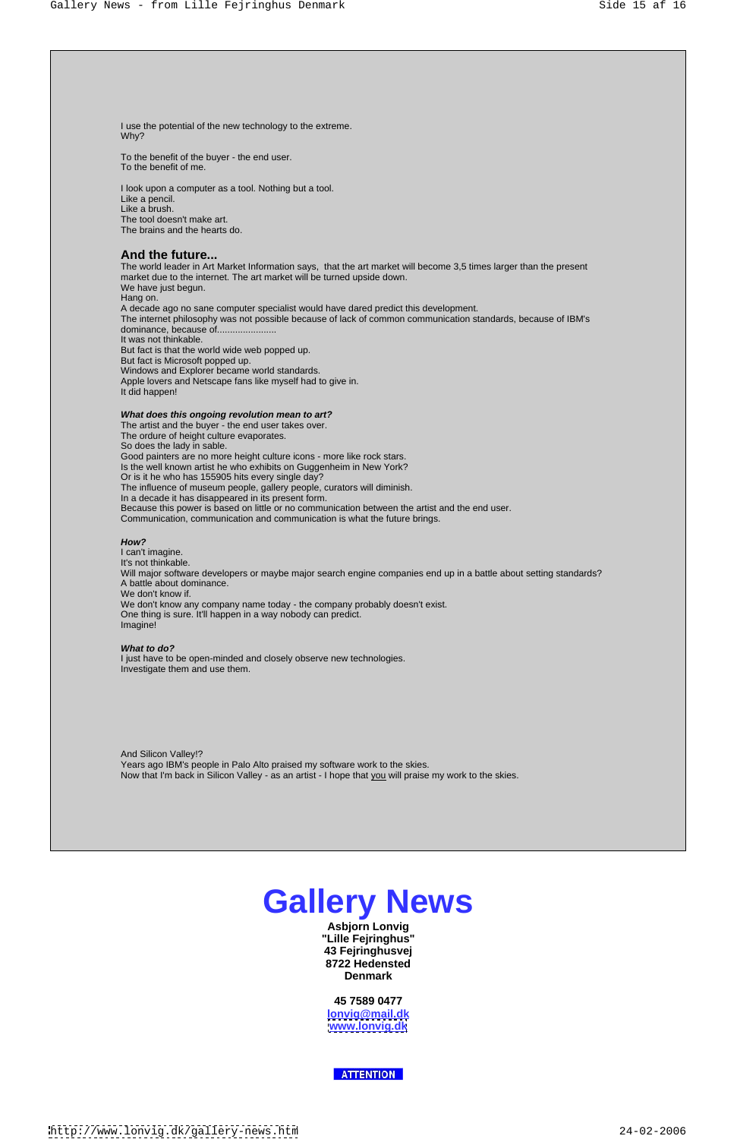# **Gallery News**

**Asbjorn Lonvig "Lille Fejringhus" 43 Fejringhusvej 8722 Hedensted Denmark**

**45 7589 0477 lonvig@mail.dk [www.lonvig.dk](http://www.lonvig.dk)**

**ATTENTION** 

The world leader in Art Market Information says, that the art market will become 3,5 times larger than the present market due to the internet. The art market will be turned upside down. We have just begun. Hang on. A decade ago no sane computer specialist would have dared predict this development. The internet philosophy was not possible because of lack of common communication standards, because of IBM's dominance, because of....................... It was not thinkable. But fact is that the world wide web popped up. But fact is Microsoft popped up. Windows and Explorer became world standards. Apple lovers and Netscape fans like myself had to give in. It did happen! All the second control of the second control of the second control of the second control of the second control of the second control of the second control of the second control of the second control of the s

To the benefit of the buyer - the end user. To the benefit of me.

I look upon a computer as a tool. Nothing but a tool. Like a pencil. Like a brush. The tool doesn't make art. The brains and the hearts do.

## **And the future...**

I can't imagine. It's not thinkable. Will major software developers or maybe major search engine companies end up in a battle about setting standards? A battle about dominance. We don't know if. We don't know any company name today - the company probably doesn't exist. One thing is sure. It'll happen in a way nobody can predict. Imagine! And the contract of the contract of the contract of the contract of the contract of the contract of the contract of the contract of the contract of the contract of the contract of the contract of the contract of t

### **What does this ongoing revolution mean to art?**

The artist and the buyer - the end user takes over. The ordure of height culture evaporates. So does the lady in sable. Good painters are no more height culture icons - more like rock stars. Is the well known artist he who exhibits on Guggenheim in New York? Or is it he who has 155905 hits every single day? The influence of museum people, gallery people, curators will diminish. In a decade it has disappeared in its present form. Because this power is based on little or no communication between the artist and the end user. Communication, communication and communication is what the future brings.

### **How?**

### **What to do?**

I just have to be open-minded and closely observe new technologies. Investigate them and use them.